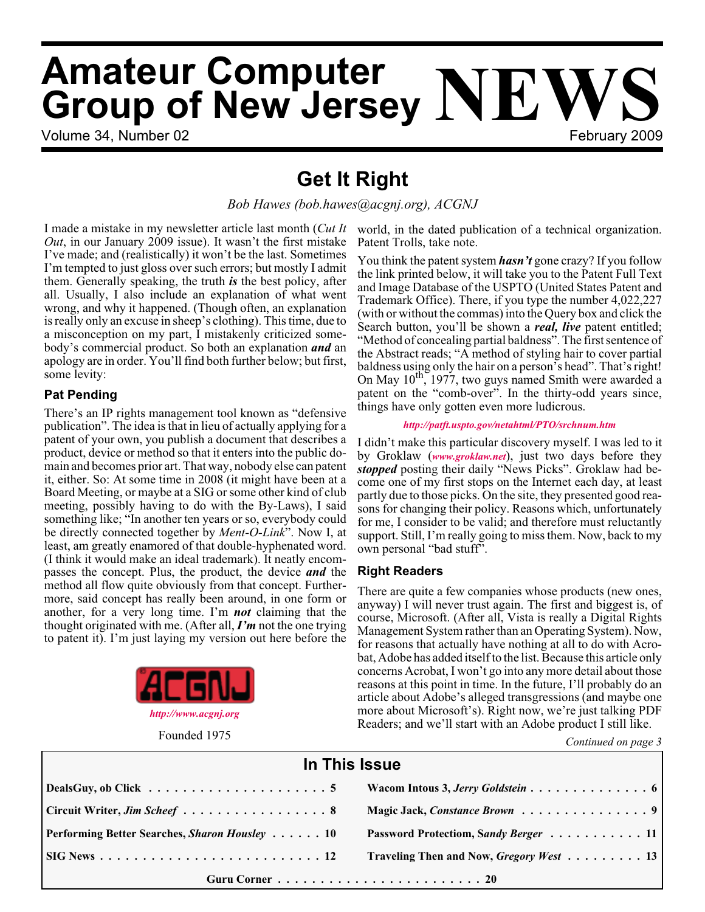# **Amateur Computer Group of New Jersey NEWS**

Volume 34, Number 02 February 2009

## **Get It Right**

*Bob Hawes (bob.hawes@acgnj.org), ACGNJ*

I made a mistake in my newsletter article last month (*Cut It Out*, in our January 2009 issue). It wasn't the first mistake I've made; and (realistically) it won't be the last. Sometimes I'm tempted to just gloss over such errors; but mostly I admit them. Generally speaking, the truth *is* the best policy, after all. Usually, I also include an explanation of what went wrong, and why it happened. (Though often, an explanation is really only an excuse in sheep's clothing). This time, due to a misconception on my part, I mistakenly criticized somebody's commercial product. So both an explanation *and* an apology are in order. You'll find both further below; but first, some levity:

### **Pat Pending**

There's an IP rights management tool known as "defensive publication". The idea is that in lieu of actually applying for a patent of your own, you publish a document that describes a product, device or method so that it enters into the public domain and becomes prior art. That way, nobody else can patent it, either. So: At some time in 2008 (it might have been at a Board Meeting, or maybe at a SIG or some other kind of club meeting, possibly having to do with the By-Laws), I said something like; "In another ten years or so, everybody could be directly connected together by *Ment-O-Link*". Now I, at least, am greatly enamored of that double-hyphenated word. (I think it would make an ideal trademark). It neatly encompasses the concept. Plus, the product, the device *and* the method all flow quite obviously from that concept. Furthermore, said concept has really been around, in one form or another, for a very long time. I'm *not* claiming that the thought originated with me. (After all, *I'm* not the one trying to patent it). I'm just laying my version out here before the



world, in the dated publication of a technical organization. Patent Trolls, take note.

You think the patent system *hasn't* gone crazy? If you follow the link printed below, it will take you to the Patent Full Text and Image Database of the USPTO (United States Patent and Trademark Office). There, if you type the number 4,022,227 (with or without the commas) into the Query box and click the Search button, you'll be shown a *real, live* patent entitled; "Method of concealing partial baldness". The first sentence of the Abstract reads; "A method of styling hair to cover partial baldness using only the hair on a person's head". That's right! On May  $10^{th}$ , 1977, two guys named Smith were awarded a patent on the "comb-over". In the thirty-odd years since, things have only gotten even more ludicrous.

### *<http://patft.uspto.gov/netahtml/PTO/srchnum.htm>*

I didn't make this particular discovery myself. I was led to it by Groklaw (*[www.groklaw.net](http://www.groklaw.net)*), just two days before they *stopped* posting their daily "News Picks". Groklaw had become one of my first stops on the Internet each day, at least partly due to those picks. On the site, they presented good reasons for changing their policy. Reasons which, unfortunately for me, I consider to be valid; and therefore must reluctantly support. Still, I'm really going to miss them. Now, back to my own personal "bad stuff".

### **Right Readers**

There are quite a few companies whose products (new ones, anyway) I will never trust again. The first and biggest is, of course, Microsoft. (After all, Vista is really a Digital Rights Management System rather than an Operating System). Now, for reasons that actually have nothing at all to do with Acrobat, Adobe has added itself to the list. Because this article only concerns Acrobat, I won't go into any more detail about those reasons at this point in time. In the future, I'll probably do an article about Adobe's alleged transgressions (and maybe one more about Microsoft's). Right now, we're just talking PDF Readers; and we'll start with an Adobe product I still like.

Founded 1975 **Continued on page 3** 

| In This Issue                                                              |                                                                       |  |  |  |
|----------------------------------------------------------------------------|-----------------------------------------------------------------------|--|--|--|
| DealsGuy, ob Click $\dots \dots \dots \dots \dots \dots \dots \dots \dots$ | Wacom Intous 3, Jerry Goldstein $\dots \dots \dots \dots \dots \dots$ |  |  |  |
| Circuit Writer, Jim Scheef  8                                              | Magic Jack, Constance Brown 9                                         |  |  |  |
| <b>Performing Better Searches, Sharon Housley  10</b>                      | Password Protectiom, Sandy Berger 11                                  |  |  |  |
|                                                                            | Traveling Then and Now, Gregory West $\dots \dots \dots \dots$ 13     |  |  |  |
|                                                                            |                                                                       |  |  |  |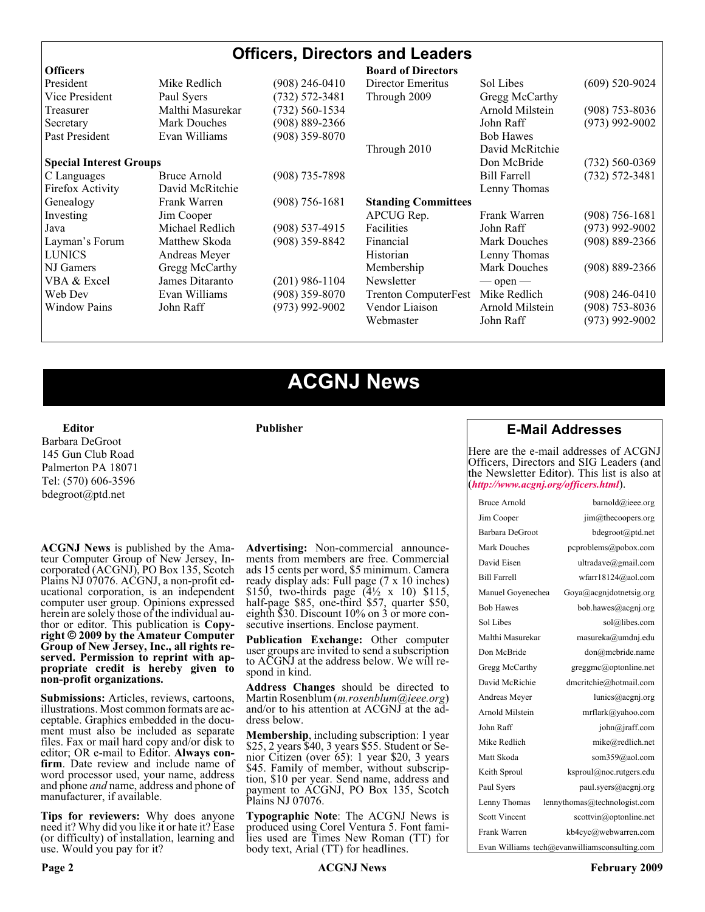| <b>Officers, Directors and Leaders</b> |                     |                    |                            |                     |                    |
|----------------------------------------|---------------------|--------------------|----------------------------|---------------------|--------------------|
| <b>Officers</b>                        |                     |                    | <b>Board of Directors</b>  |                     |                    |
| President                              | Mike Redlich        | (908) 246-0410     | Director Emeritus          | Sol Libes           | $(609)$ 520-9024   |
| Vice President                         | Paul Syers          | $(732) 572 - 3481$ | Through 2009               | Gregg McCarthy      |                    |
| Treasurer                              | Malthi Masurekar    | (732) 560-1534     |                            | Arnold Milstein     | $(908)$ 753-8036   |
| Secretary                              | <b>Mark Douches</b> | $(908) 889 - 2366$ |                            | John Raff           | $(973)$ 992-9002   |
| Past President                         | Evan Williams       | $(908)$ 359-8070   |                            | <b>Bob Hawes</b>    |                    |
|                                        |                     |                    | Through 2010               | David McRitchie     |                    |
| <b>Special Interest Groups</b>         |                     |                    |                            | Don McBride         | $(732)$ 560-0369   |
| C Languages                            | Bruce Arnold        | $(908)$ 735-7898   |                            | <b>Bill Farrell</b> | $(732) 572 - 3481$ |
| Firefox Activity                       | David McRitchie     |                    |                            | Lenny Thomas        |                    |
| Genealogy                              | Frank Warren        | $(908)$ 756-1681   | <b>Standing Committees</b> |                     |                    |
| Investing                              | Jim Cooper          |                    | APCUG Rep.                 | Frank Warren        | $(908) 756 - 1681$ |
| Java                                   | Michael Redlich     | $(908) 537 - 4915$ | <b>Facilities</b>          | John Raff           | $(973)$ 992-9002   |
| Layman's Forum                         | Matthew Skoda       | $(908)$ 359-8842   | Financial                  | <b>Mark Douches</b> | $(908) 889 - 2366$ |
| <b>LUNICS</b>                          | Andreas Meyer       |                    | Historian                  | Lenny Thomas        |                    |
| NJ Gamers                              | Gregg McCarthy      |                    | Membership                 | <b>Mark Douches</b> | (908) 889-2366     |
| VBA & Excel                            | James Ditaranto     | $(201)$ 986-1104   | Newsletter                 | $-$ open $-$        |                    |
| Web Dev                                | Evan Williams       | $(908)$ 359-8070   | Trenton ComputerFest       | Mike Redlich        | $(908)$ 246-0410   |
| <b>Window Pains</b>                    | John Raff           | $(973)$ 992-9002   | Vendor Liaison             | Arnold Milstein     | $(908)$ 753-8036   |
|                                        |                     |                    | Webmaster                  | John Raff           | (973) 992-9002     |

### **ACGNJ News**

**Publisher**

**Editor** Barbara DeGroot 145 Gun Club Road Palmerton PA 18071 Tel: (570) 606-3596 bdegroot@ptd.net

**ACGNJ News** is published by the Ama- teur Computer Group of New Jersey, In- corporated (ACGNJ), PO Box 135, Scotch Plains NJ 07076. ACGNJ, a non-profit ed-<br>ucational corporation, is an independent computer user group. Opinions expressed herein are solely those of the individual author or editor. This publication is **Copy-**<br>**right** © 2009 by the Amateur Computer<br>**Group of New Jersey, Inc., all rights re-Group of New Jersey, Inc., all rights re- served. Permission to reprint with ap- propriate credit is hereby given to non-profit organizations.**

**Submissions:** Articles, reviews, cartoons, illustrations. Most common formats are ac- ceptable. Graphics embedded in the docu- ment must also be included as separate files. Fax or mail hard copy and/or disk to editor; OR e-mail to Editor. **Always con**firm. Date review and include name of word processor used, your name, address and phone *and* name, address and phone of manufacturer, if available.

**Tips for reviewers:** Why does anyone need it? Why did you like it or hate it? Ease (or difficulty) of installation, learning and use. Would you pay for it?

**Advertising:** Non-commercial announce- ments from members are free. Commercial ads 15 cents per word, \$5 minimum. Camera ready display ads: Full page (7 x 10 inches) \$150, two-thirds page  $(4\frac{1}{2} \times 10)$  \$115, half-page \$85, one-third \$57, quarter \$50, eighth \$30. Discount 10% on 3 or more con- secutive insertions. Enclose payment.

**Publication Exchange:** Other computer user groups are invited to send a subscription to ACGNJ at the address below. We will re- spond in kind.

**Address Changes** should be directed to Martin Rosenblum (*m.rosenblum@ieee.org*) and/or to his attention at ACGNJ at the ad- dress below.

**Membership**, including subscription: 1 year \$25, 2 years \$40, 3 years \$55. Student or Senior Citizen (over 65): 1 year \$20, 3 years \$45. Family of member, without subscription, \$10 per year. Send name, address and payment to ACGNJ, PO Box 135, Scotch Plains NJ 07076.

**Typographic Note**: The ACGNJ News is produced using Corel Ventura 5. Font fami- lies used are Times New Roman (TT) for body text, Arial (TT) for headlines.

### **E-Mail Addresses**

Here are the e-mail addresses of ACGNJ Officers, Directors and SIG Leaders (and the Newsletter Editor). This list is also at (*<http://www.acgnj.org/officers.html>*).

| Bruce Arnold         | barnold@ieee.org                              |
|----------------------|-----------------------------------------------|
| Jim Cooper           | $\lim$ ( $a$ ) the coopers.org                |
| Barbara DeGroot      | bdegroot@ptd.net                              |
| Mark Douches         | pcproblems@pobox.com                          |
| David Eisen          | ultradave@gmail.com                           |
| <b>Bill Farrell</b>  | wfarr18124@aol.com                            |
| Manuel Goyenechea    | Goya@acgnidotnetsig.org                       |
| <b>Bob Hawes</b>     | bob.hawes@acgnj.org                           |
| Sol Libes            | sol@libes.com                                 |
| Malthi Masurekar     | masureka@umdnj.edu                            |
| Don McBride          | don@mcbride.name                              |
| Gregg McCarthy       | greggmc@optonline.net                         |
| David McRichie       | dmcritchie@hotmail.com                        |
| Andreas Meyer        | lunics@acgni.org                              |
| Arnold Milstein      | mrflark@yahoo.com                             |
| John Raff            | $\overline{\text{iohn}(a)}$ raff.com          |
| Mike Redlich         | mike@redlich.net                              |
| Matt Skoda           | som359@aol.com                                |
| Keith Sproul         | ksproul@noc.rutgers.edu                       |
| Paul Syers           | paul.syers@acgnj.org                          |
| Lenny Thomas         | lennythomas@technologist.com                  |
| <b>Scott Vincent</b> | scottvin@optonline.net                        |
| Frank Warren         | kb4cyc@webwarren.com                          |
|                      | Evan Williams tech@evanwilliamsconsulting.com |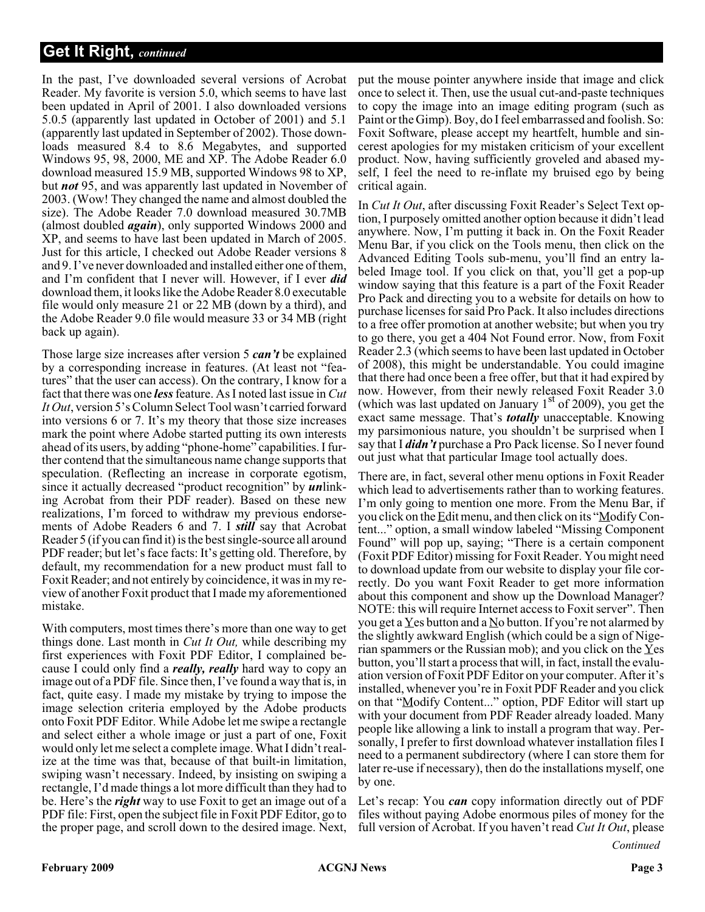In the past, I've downloaded several versions of Acrobat Reader. My favorite is version 5.0, which seems to have last been updated in April of 2001. I also downloaded versions 5.0.5 (apparently last updated in October of 2001) and 5.1 (apparently last updated in September of 2002). Those downloads measured 8.4 to 8.6 Megabytes, and supported Windows 95, 98, 2000, ME and XP. The Adobe Reader 6.0 download measured 15.9 MB, supported Windows 98 to XP, but *not* 95, and was apparently last updated in November of 2003. (Wow! They changed the name and almost doubled the size). The Adobe Reader 7.0 download measured 30.7MB (almost doubled *again*), only supported Windows 2000 and XP, and seems to have last been updated in March of 2005. Just for this article, I checked out Adobe Reader versions 8 and 9. I've never downloaded and installed either one of them, and I'm confident that I never will. However, if I ever *did* download them, it looks like the Adobe Reader 8.0 executable file would only measure 21 or 22 MB (down by a third), and the Adobe Reader 9.0 file would measure 33 or 34 MB (right back up again).

Those large size increases after version 5 *can't* be explained by a corresponding increase in features. (At least not "features" that the user can access). On the contrary, I know for a fact that there was one *less*feature. As I noted last issue in *Cut It Out*, version 5's Column Select Tool wasn't carried forward into versions 6 or 7. It's my theory that those size increases mark the point where Adobe started putting its own interests ahead of its users, by adding "phone-home" capabilities. I further contend that the simultaneous name change supports that speculation. (Reflecting an increase in corporate egotism, since it actually decreased "product recognition" by *un*linking Acrobat from their PDF reader). Based on these new realizations, I'm forced to withdraw my previous endorsements of Adobe Readers 6 and 7. I *still* say that Acrobat Reader 5 (if you can find it) is the best single-source all around PDF reader; but let's face facts: It's getting old. Therefore, by default, my recommendation for a new product must fall to Foxit Reader; and not entirely by coincidence, it was in my review of another Foxit product that I made my aforementioned mistake.

With computers, most times there's more than one way to get things done. Last month in *Cut It Out,* while describing my first experiences with Foxit PDF Editor, I complained because I could only find a *really, really* hard way to copy an image out of a PDF file. Since then, I've found a way that is, in fact, quite easy. I made my mistake by trying to impose the image selection criteria employed by the Adobe products onto Foxit PDF Editor. While Adobe let me swipe a rectangle and select either a whole image or just a part of one, Foxit would only let me select a complete image. What I didn't realize at the time was that, because of that built-in limitation, swiping wasn't necessary. Indeed, by insisting on swiping a rectangle, I'd made things a lot more difficult than they had to be. Here's the *right* way to use Foxit to get an image out of a PDF file: First, open the subject file in Foxit PDF Editor, go to the proper page, and scroll down to the desired image. Next,

put the mouse pointer anywhere inside that image and click once to select it. Then, use the usual cut-and-paste techniques to copy the image into an image editing program (such as Paint or the Gimp). Boy, do I feel embarrassed and foolish. So: Foxit Software, please accept my heartfelt, humble and sincerest apologies for my mistaken criticism of your excellent product. Now, having sufficiently groveled and abased myself, I feel the need to re-inflate my bruised ego by being critical again.

In *Cut It Out*, after discussing Foxit Reader's Select Text option, I purposely omitted another option because it didn't lead anywhere. Now, I'm putting it back in. On the Foxit Reader Menu Bar, if you click on the Tools menu, then click on the Advanced Editing Tools sub-menu, you'll find an entry labeled Image tool. If you click on that, you'll get a pop-up window saying that this feature is a part of the Foxit Reader Pro Pack and directing you to a website for details on how to purchase licenses for said Pro Pack. It also includes directions to a free offer promotion at another website; but when you try to go there, you get a 404 Not Found error. Now, from Foxit Reader 2.3 (which seems to have been last updated in October of 2008), this might be understandable. You could imagine that there had once been a free offer, but that it had expired by now. However, from their newly released Foxit Reader 3.0 (which was last updated on January  $1<sup>st</sup>$  of 2009), you get the exact same message. That's *totally* unacceptable. Knowing my parsimonious nature, you shouldn't be surprised when I say that I *didn't* purchase a Pro Pack license. So I never found out just what that particular Image tool actually does.

There are, in fact, several other menu options in Foxit Reader which lead to advertisements rather than to working features. I'm only going to mention one more. From the Menu Bar, if you click on the Edit menu, and then click on its "Modify Content..." option, a small window labeled "Missing Component Found" will pop up, saying; "There is a certain component (Foxit PDF Editor) missing for Foxit Reader. You might need to download update from our website to display your file correctly. Do you want Foxit Reader to get more information about this component and show up the Download Manager? NOTE: this will require Internet access to Foxit server". Then you get a  $Y$ es button and a  $N$ o button. If you're not alarmed by</u></u> the slightly awkward English (which could be a sign of Nigerian spammers or the Russian mob); and you click on the  $Y$ es button, you'll start a process that will, in fact, install the evaluation version of Foxit PDF Editor on your computer. After it's installed, whenever you're in Foxit PDF Reader and you click on that "Modify Content..." option, PDF Editor will start up with your document from PDF Reader already loaded. Many people like allowing a link to install a program that way. Personally, I prefer to first download whatever installation files I need to a permanent subdirectory (where I can store them for later re-use if necessary), then do the installations myself, one by one.

Let's recap: You *can* copy information directly out of PDF files without paying Adobe enormous piles of money for the full version of Acrobat. If you haven't read *Cut It Out*, please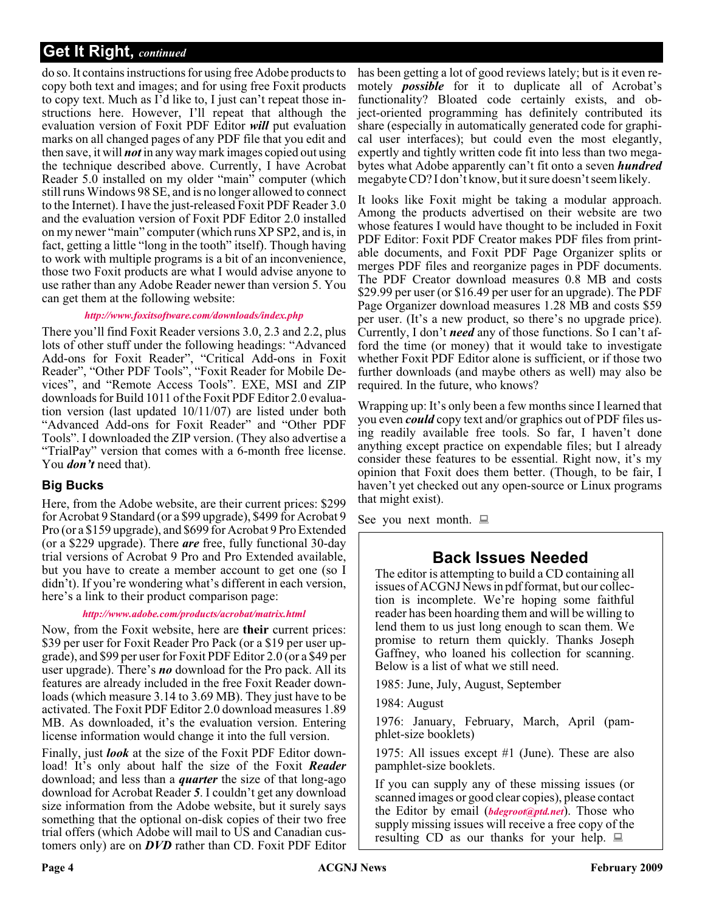### **Get It Right,** *continued*

do so. It contains instructions for using free Adobe products to copy both text and images; and for using free Foxit products to copy text. Much as I'd like to, I just can't repeat those instructions here. However, I'll repeat that although the evaluation version of Foxit PDF Editor *will* put evaluation marks on all changed pages of any PDF file that you edit and then save, it will *not* in any way mark images copied out using the technique described above. Currently, I have Acrobat Reader 5.0 installed on my older "main" computer (which still runs Windows 98 SE, and is no longer allowed to connect to the Internet). I have the just-released Foxit PDF Reader 3.0 and the evaluation version of Foxit PDF Editor 2.0 installed on my newer "main" computer (which runs XP SP2, and is, in fact, getting a little "long in the tooth" itself). Though having to work with multiple programs is a bit of an inconvenience, those two Foxit products are what I would advise anyone to use rather than any Adobe Reader newer than version 5. You can get them at the following website:

### *<http://www.foxitsoftware.com/downloads/index.php>*

There you'll find Foxit Reader versions 3.0, 2.3 and 2.2, plus lots of other stuff under the following headings: "Advanced Add-ons for Foxit Reader", "Critical Add-ons in Foxit Reader", "Other PDF Tools", "Foxit Reader for Mobile Devices", and "Remote Access Tools". EXE, MSI and ZIP downloads for Build 1011 of the Foxit PDF Editor 2.0 evaluation version (last updated 10/11/07) are listed under both "Advanced Add-ons for Foxit Reader" and "Other PDF Tools". I downloaded the ZIP version. (They also advertise a "TrialPay" version that comes with a 6-month free license. You *don't* need that).

### **Big Bucks**

Here, from the Adobe website, are their current prices: \$299 for Acrobat 9 Standard (or a \$99 upgrade), \$499 for Acrobat 9 Pro (or a \$159 upgrade), and \$699 for Acrobat 9 Pro Extended (or a \$229 upgrade). There *are* free, fully functional 30-day trial versions of Acrobat 9 Pro and Pro Extended available, but you have to create a member account to get one (so I didn't). If you're wondering what's different in each version, here's a link to their product comparison page:

### *<http://www.adobe.com/products/acrobat/matrix.html>*

Now, from the Foxit website, here are **their** current prices: \$39 per user for Foxit Reader Pro Pack (or a \$19 per user upgrade), and \$99 per user for Foxit PDF Editor 2.0 (or a \$49 per user upgrade). There's *no* download for the Pro pack. All its features are already included in the free Foxit Reader downloads (which measure 3.14 to 3.69 MB). They just have to be activated. The Foxit PDF Editor 2.0 download measures 1.89 MB. As downloaded, it's the evaluation version. Entering license information would change it into the full version.

Finally, just *look* at the size of the Foxit PDF Editor download! It's only about half the size of the Foxit *Reader* download; and less than a *quarter* the size of that long-ago download for Acrobat Reader *5*. I couldn't get any download size information from the Adobe website, but it surely says something that the optional on-disk copies of their two free trial offers (which Adobe will mail to US and Canadian customers only) are on *DVD* rather than CD. Foxit PDF Editor

has been getting a lot of good reviews lately; but is it even remotely *possible* for it to duplicate all of Acrobat's functionality? Bloated code certainly exists, and object-oriented programming has definitely contributed its share (especially in automatically generated code for graphical user interfaces); but could even the most elegantly, expertly and tightly written code fit into less than two megabytes what Adobe apparently can't fit onto a seven *hundred* megabyte CD? I don't know, but it sure doesn't seem likely.

It looks like Foxit might be taking a modular approach. Among the products advertised on their website are two whose features I would have thought to be included in Foxit PDF Editor: Foxit PDF Creator makes PDF files from printable documents, and Foxit PDF Page Organizer splits or merges PDF files and reorganize pages in PDF documents. The PDF Creator download measures 0.8 MB and costs \$29.99 per user (or \$16.49 per user for an upgrade). The PDF Page Organizer download measures 1.28 MB and costs \$59 per user. (It's a new product, so there's no upgrade price). Currently, I don't *need* any of those functions. So I can't afford the time (or money) that it would take to investigate whether Foxit PDF Editor alone is sufficient, or if those two further downloads (and maybe others as well) may also be required. In the future, who knows?

Wrapping up: It's only been a few months since I learned that you even *could* copy text and/or graphics out of PDF files using readily available free tools. So far, I haven't done anything except practice on expendable files; but I already consider these features to be essential. Right now, it's my opinion that Foxit does them better. (Though, to be fair, I haven't yet checked out any open-source or Linux programs that might exist).

See you next month.  $\Box$ 

### **Back Issues Needed**

The editor is attempting to build a CD containing all issues of ACGNJ News in pdf format, but our collection is incomplete. We're hoping some faithful reader has been hoarding them and will be willing to lend them to us just long enough to scan them. We promise to return them quickly. Thanks Joseph Gaffney, who loaned his collection for scanning. Below is a list of what we still need.

1985: June, July, August, September

1984: August

1976: January, February, March, April (pamphlet-size booklets)

1975: All issues except #1 (June). These are also pamphlet-size booklets.

If you can supply any of these missing issues (or scanned images or good clear copies), please contact the Editor by email (*[bdegroot@ptd.net](mailto:bdegroot@ptd.net)*). Those who supply missing issues will receive a free copy of the resulting CD as our thanks for your help.  $\Box$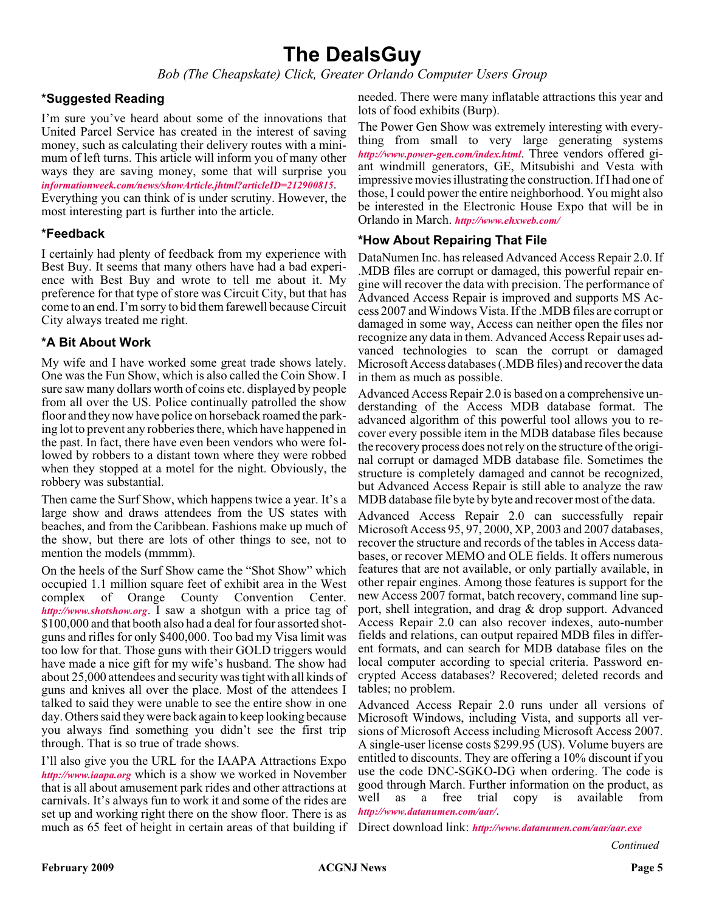### **The DealsGuy**

*Bob (The Cheapskate) Click, Greater Orlando Computer Users Group*

### **\*Suggested Reading**

I'm sure you've heard about some of the innovations that United Parcel Service has created in the interest of saving money, such as calculating their delivery routes with a minimum of left turns. This article will inform you of many other ways they are saving money, some that will surprise you *[informationweek.com/news/showArticle.jhtml?articleID=212900815](http://www.informationweek.com/news/showArticle.jhtml?articleID=212900815)*. Everything you can think of is under scrutiny. However, the most interesting part is further into the article.

### **\*Feedback**

I certainly had plenty of feedback from my experience with Best Buy. It seems that many others have had a bad experience with Best Buy and wrote to tell me about it. My preference for that type of store was Circuit City, but that has come to an end. I'm sorry to bid them farewell because Circuit City always treated me right.

### **\*A Bit About Work**

My wife and I have worked some great trade shows lately. One was the Fun Show, which is also called the Coin Show. I sure saw many dollars worth of coins etc. displayed by people from all over the US. Police continually patrolled the show floor and they now have police on horseback roamed the parking lot to prevent any robberies there, which have happened in the past. In fact, there have even been vendors who were followed by robbers to a distant town where they were robbed when they stopped at a motel for the night. Obviously, the robbery was substantial.

Then came the Surf Show, which happens twice a year. It's a large show and draws attendees from the US states with beaches, and from the Caribbean. Fashions make up much of the show, but there are lots of other things to see, not to mention the models (mmmm).

On the heels of the Surf Show came the "Shot Show" which occupied 1.1 million square feet of exhibit area in the West complex of Orange County Convention Center. *<http://www.shotshow.org>*. I saw a shotgun with a price tag of \$100,000 and that booth also had a deal for four assorted shotguns and rifles for only \$400,000. Too bad my Visa limit was too low for that. Those guns with their GOLD triggers would have made a nice gift for my wife's husband. The show had about 25,000 attendees and security was tight with all kinds of guns and knives all over the place. Most of the attendees I talked to said they were unable to see the entire show in one day. Others said they were back again to keep looking because you always find something you didn't see the first trip through. That is so true of trade shows.

I'll also give you the URL for the IAAPA Attractions Expo *<http://www.iaapa.org>* which is a show we worked in November that is all about amusement park rides and other attractions at carnivals. It's always fun to work it and some of the rides are set up and working right there on the show floor. There is as much as 65 feet of height in certain areas of that building if

needed. There were many inflatable attractions this year and lots of food exhibits (Burp).

The Power Gen Show was extremely interesting with everything from small to very large generating systems *<http://www.power-gen.com/index.html>*. Three vendors offered giant windmill generators, GE, Mitsubishi and Vesta with impressive movies illustrating the construction. If I had one of those, I could power the entire neighborhood. You might also be interested in the Electronic House Expo that will be in Orlando in March. *<http://www.ehxweb.com/>*

### **\*How About Repairing That File**

DataNumen Inc. has released Advanced Access Repair 2.0. If .MDB files are corrupt or damaged, this powerful repair engine will recover the data with precision. The performance of Advanced Access Repair is improved and supports MS Access 2007 and Windows Vista. If the .MDB files are corrupt or damaged in some way, Access can neither open the files nor recognize any data in them. Advanced Access Repair uses advanced technologies to scan the corrupt or damaged Microsoft Access databases (.MDB files) and recover the data in them as much as possible.

Advanced Access Repair 2.0 is based on a comprehensive understanding of the Access MDB database format. The advanced algorithm of this powerful tool allows you to recover every possible item in the MDB database files because the recovery process does not rely on the structure of the original corrupt or damaged MDB database file. Sometimes the structure is completely damaged and cannot be recognized, but Advanced Access Repair is still able to analyze the raw MDB database file byte by byte and recover most of the data.

Advanced Access Repair 2.0 can successfully repair Microsoft Access 95, 97, 2000, XP, 2003 and 2007 databases, recover the structure and records of the tables in Access databases, or recover MEMO and OLE fields. It offers numerous features that are not available, or only partially available, in other repair engines. Among those features is support for the new Access 2007 format, batch recovery, command line support, shell integration, and drag & drop support. Advanced Access Repair 2.0 can also recover indexes, auto-number fields and relations, can output repaired MDB files in different formats, and can search for MDB database files on the local computer according to special criteria. Password encrypted Access databases? Recovered; deleted records and tables; no problem.

Advanced Access Repair 2.0 runs under all versions of Microsoft Windows, including Vista, and supports all versions of Microsoft Access including Microsoft Access 2007. A single-user license costs \$299.95 (US). Volume buyers are entitled to discounts. They are offering a 10% discount if you use the code DNC-SGKO-DG when ordering. The code is good through March. Further information on the product, as<br>well as a free trial copy is available from well as a free trial copy is available from *<http://www.datanumen.com/aar/>*.

Direct download link: *<http://www.datanumen.com/aar/aar.exe>*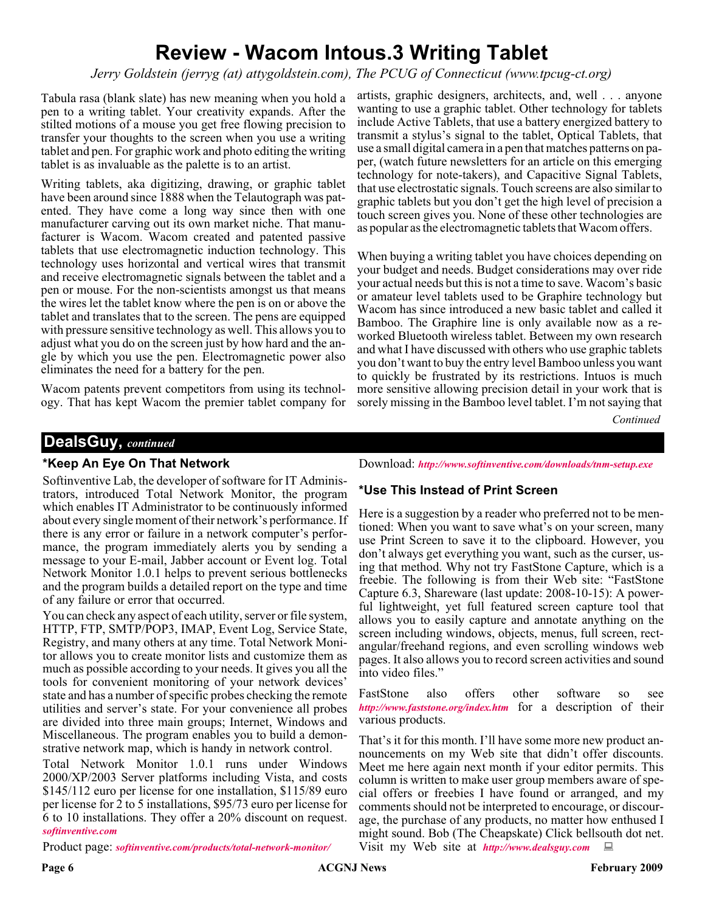### **Review - Wacom Intous.3 Writing Tablet**

*Jerry Goldstein (jerryg (at) attygoldstein.com), The PCUG of Connecticut (www.tpcug-ct.org)*

Tabula rasa (blank slate) has new meaning when you hold a pen to a writing tablet. Your creativity expands. After the stilted motions of a mouse you get free flowing precision to transfer your thoughts to the screen when you use a writing tablet and pen. For graphic work and photo editing the writing tablet is as invaluable as the palette is to an artist.

Writing tablets, aka digitizing, drawing, or graphic tablet have been around since 1888 when the Telautograph was patented. They have come a long way since then with one manufacturer carving out its own market niche. That manufacturer is Wacom. Wacom created and patented passive tablets that use electromagnetic induction technology. This technology uses horizontal and vertical wires that transmit and receive electromagnetic signals between the tablet and a pen or mouse. For the non-scientists amongst us that means the wires let the tablet know where the pen is on or above the tablet and translates that to the screen. The pens are equipped with pressure sensitive technology as well. This allows you to adjust what you do on the screen just by how hard and the angle by which you use the pen. Electromagnetic power also eliminates the need for a battery for the pen.

Wacom patents prevent competitors from using its technology. That has kept Wacom the premier tablet company for artists, graphic designers, architects, and, well . . . anyone wanting to use a graphic tablet. Other technology for tablets include Active Tablets, that use a battery energized battery to transmit a stylus's signal to the tablet, Optical Tablets, that use a small digital camera in a pen that matches patterns on paper, (watch future newsletters for an article on this emerging technology for note-takers), and Capacitive Signal Tablets, that use electrostatic signals. Touch screens are also similar to graphic tablets but you don't get the high level of precision a touch screen gives you. None of these other technologies are as popular as the electromagnetic tablets that Wacom offers.

When buying a writing tablet you have choices depending on your budget and needs. Budget considerations may over ride your actual needs but this is not a time to save. Wacom's basic or amateur level tablets used to be Graphire technology but Wacom has since introduced a new basic tablet and called it Bamboo. The Graphire line is only available now as a reworked Bluetooth wireless tablet. Between my own research and what I have discussed with others who use graphic tablets you don't want to buy the entry level Bamboo unless you want to quickly be frustrated by its restrictions. Intuos is much more sensitive allowing precision detail in your work that is sorely missing in the Bamboo level tablet. I'm not saying that

*Continued*

### **DealsGuy,** *continued*

### **\*Keep An Eye On That Network**

Softinventive Lab, the developer of software for IT Administrators, introduced Total Network Monitor, the program which enables IT Administrator to be continuously informed about every single moment of their network's performance. If there is any error or failure in a network computer's performance, the program immediately alerts you by sending a message to your E-mail, Jabber account or Event log. Total Network Monitor 1.0.1 helps to prevent serious bottlenecks and the program builds a detailed report on the type and time of any failure or error that occurred.

You can check any aspect of each utility, server or file system, HTTP, FTP, SMTP/POP3, IMAP, Event Log, Service State, Registry, and many others at any time. Total Network Monitor allows you to create monitor lists and customize them as much as possible according to your needs. It gives you all the tools for convenient monitoring of your network devices' state and has a number of specific probes checking the remote utilities and server's state. For your convenience all probes are divided into three main groups; Internet, Windows and Miscellaneous. The program enables you to build a demonstrative network map, which is handy in network control.

Total Network Monitor 1.0.1 runs under Windows 2000/XP/2003 Server platforms including Vista, and costs \$145/112 euro per license for one installation, \$115/89 euro per license for 2 to 5 installations, \$95/73 euro per license for 6 to 10 installations. They offer a 20% discount on request. *[softinventive.com](http://softinventive.com)*

Product page: *[softinventive.com/products/total-network-monitor/](http://www.softinventive.com/products/total-network-monitor/)*

Download: *<http://www.softinventive.com/downloads/tnm-setup.exe>*

### **\*Use This Instead of Print Screen**

Here is a suggestion by a reader who preferred not to be mentioned: When you want to save what's on your screen, many use Print Screen to save it to the clipboard. However, you don't always get everything you want, such as the curser, using that method. Why not try FastStone Capture, which is a freebie. The following is from their Web site: "FastStone Capture 6.3, Shareware (last update: 2008-10-15): A powerful lightweight, yet full featured screen capture tool that allows you to easily capture and annotate anything on the screen including windows, objects, menus, full screen, rectangular/freehand regions, and even scrolling windows web pages. It also allows you to record screen activities and sound into video files."

FastStone also offers other software so see *<http://www.faststone.org/index.htm>* for a description of their various products.

That's it for this month. I'll have some more new product announcements on my Web site that didn't offer discounts. Meet me here again next month if your editor permits. This column is written to make user group members aware of special offers or freebies I have found or arranged, and my comments should not be interpreted to encourage, or discourage, the purchase of any products, no matter how enthused I might sound. Bob (The Cheapskate) Click bellsouth dot net. Visit my Web site at *<http://www.dealsguy.com>*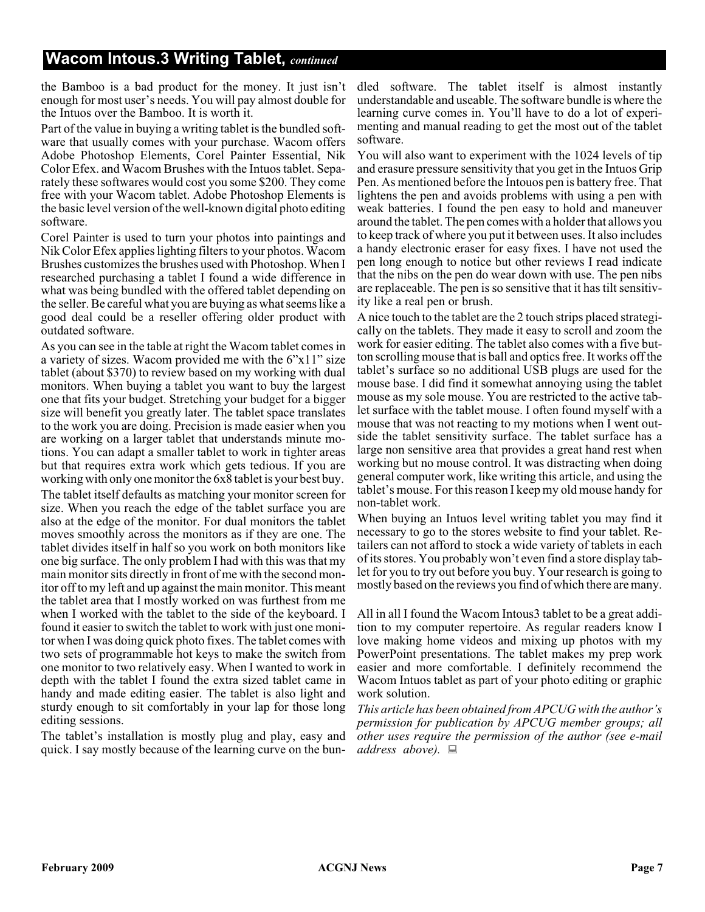### **Wacom Intous.3 Writing Tablet,** *continued*

the Bamboo is a bad product for the money. It just isn't enough for most user's needs. You will pay almost double for the Intuos over the Bamboo. It is worth it.

Part of the value in buying a writing tablet is the bundled software that usually comes with your purchase. Wacom offers Adobe Photoshop Elements, Corel Painter Essential, Nik Color Efex. and Wacom Brushes with the Intuos tablet. Separately these softwares would cost you some \$200. They come free with your Wacom tablet. Adobe Photoshop Elements is the basic level version of the well-known digital photo editing software.

Corel Painter is used to turn your photos into paintings and Nik Color Efex applies lighting filters to your photos. Wacom Brushes customizes the brushes used with Photoshop. When I researched purchasing a tablet I found a wide difference in what was being bundled with the offered tablet depending on the seller. Be careful what you are buying as what seems like a good deal could be a reseller offering older product with outdated software.

As you can see in the table at right the Wacom tablet comes in a variety of sizes. Wacom provided me with the 6"x11" size tablet (about \$370) to review based on my working with dual monitors. When buying a tablet you want to buy the largest one that fits your budget. Stretching your budget for a bigger size will benefit you greatly later. The tablet space translates to the work you are doing. Precision is made easier when you are working on a larger tablet that understands minute motions. You can adapt a smaller tablet to work in tighter areas but that requires extra work which gets tedious. If you are working with only one monitor the 6x8 tablet is your best buy.

The tablet itself defaults as matching your monitor screen for size. When you reach the edge of the tablet surface you are also at the edge of the monitor. For dual monitors the tablet moves smoothly across the monitors as if they are one. The tablet divides itself in half so you work on both monitors like one big surface. The only problem I had with this was that my main monitor sits directly in front of me with the second monitor off to my left and up against the main monitor. This meant the tablet area that I mostly worked on was furthest from me when I worked with the tablet to the side of the keyboard. I found it easier to switch the tablet to work with just one monitor when I was doing quick photo fixes. The tablet comes with two sets of programmable hot keys to make the switch from one monitor to two relatively easy. When I wanted to work in depth with the tablet I found the extra sized tablet came in handy and made editing easier. The tablet is also light and sturdy enough to sit comfortably in your lap for those long editing sessions.

The tablet's installation is mostly plug and play, easy and quick. I say mostly because of the learning curve on the bundled software. The tablet itself is almost instantly understandable and useable. The software bundle is where the learning curve comes in. You'll have to do a lot of experimenting and manual reading to get the most out of the tablet software.

You will also want to experiment with the 1024 levels of tip and erasure pressure sensitivity that you get in the Intuos Grip Pen. As mentioned before the Intouos pen is battery free. That lightens the pen and avoids problems with using a pen with weak batteries. I found the pen easy to hold and maneuver around the tablet. The pen comes with a holder that allows you to keep track of where you put it between uses. It also includes a handy electronic eraser for easy fixes. I have not used the pen long enough to notice but other reviews I read indicate that the nibs on the pen do wear down with use. The pen nibs are replaceable. The pen is so sensitive that it has tilt sensitivity like a real pen or brush.

A nice touch to the tablet are the 2 touch strips placed strategically on the tablets. They made it easy to scroll and zoom the work for easier editing. The tablet also comes with a five button scrolling mouse that is ball and optics free. It works off the tablet's surface so no additional USB plugs are used for the mouse base. I did find it somewhat annoying using the tablet mouse as my sole mouse. You are restricted to the active tablet surface with the tablet mouse. I often found myself with a mouse that was not reacting to my motions when I went outside the tablet sensitivity surface. The tablet surface has a large non sensitive area that provides a great hand rest when working but no mouse control. It was distracting when doing general computer work, like writing this article, and using the tablet's mouse. For this reason I keep my old mouse handy for non-tablet work.

When buying an Intuos level writing tablet you may find it necessary to go to the stores website to find your tablet. Retailers can not afford to stock a wide variety of tablets in each of its stores. You probably won't even find a store display tablet for you to try out before you buy. Your research is going to mostly based on the reviews you find of which there are many.

All in all I found the Wacom Intous3 tablet to be a great addition to my computer repertoire. As regular readers know I love making home videos and mixing up photos with my PowerPoint presentations. The tablet makes my prep work easier and more comfortable. I definitely recommend the Wacom Intuos tablet as part of your photo editing or graphic work solution.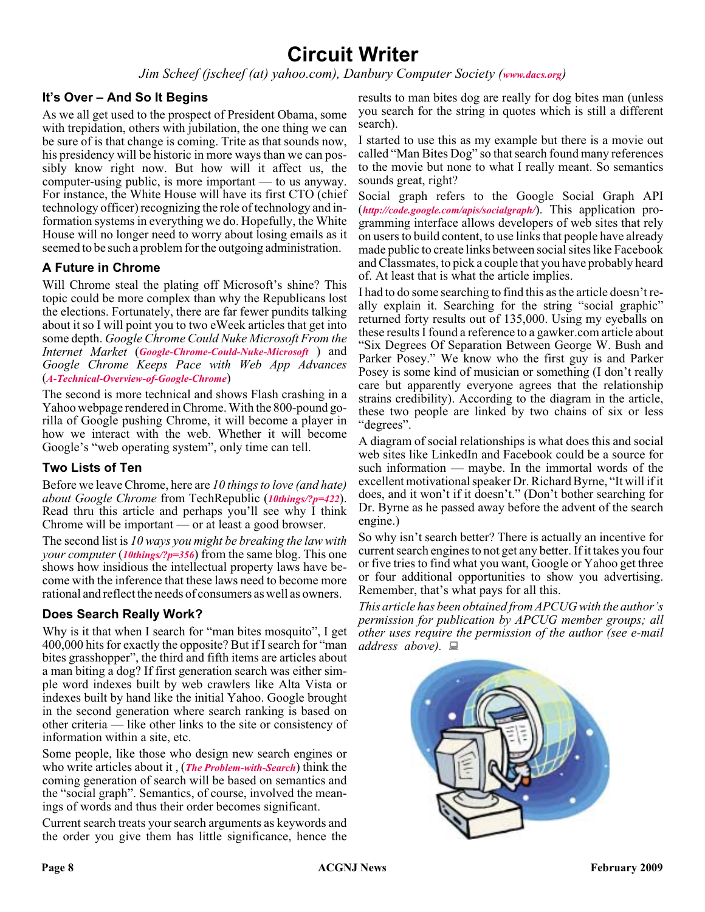### **Circuit Writer**

*Jim Scheef (jscheef (at) yahoo.com), Danbury Computer Society ([www.dacs.org](http://www.dacs.org))*

### **It's Over – And So It Begins**

As we all get used to the prospect of President Obama, some with trepidation, others with jubilation, the one thing we can be sure of is that change is coming. Trite as that sounds now, his presidency will be historic in more ways than we can possibly know right now. But how will it affect us, the computer-using public, is more important — to us anyway. For instance, the White House will have its first CTO (chief technology officer) recognizing the role of technology and information systems in everything we do. Hopefully, the White House will no longer need to worry about losing emails as it seemed to be such a problem for the outgoing administration.

### **A Future in Chrome**

Will Chrome steal the plating off Microsoft's shine? This topic could be more complex than why the Republicans lost the elections. Fortunately, there are far fewer pundits talking about it so I will point you to two eWeek articles that get into some depth. *Google Chrome Could Nuke Microsoft From the Internet Market* (*[Google-Chrome-Could-Nuke-Microsoft](http://www.eweek.com/c/a/Application-Development/Google-Chrome-Could-Nuke-Microsoft-From-the-Internet-Market/)* ) and *Google Chrome Keeps Pace with Web App Advances* (*[A-Technical-Overview-of-Google-Chrome](http://www.eweek.com/c/a/Search-Engines/A-Technical-Overview-of-Google-Chrome/)*)

The second is more technical and shows Flash crashing in a Yahoo webpage rendered in Chrome. With the 800-pound gorilla of Google pushing Chrome, it will become a player in how we interact with the web. Whether it will become Google's "web operating system", only time can tell.

### **Two Lists of Ten**

Before we leave Chrome, here are *10 things to love (and hate) about Google Chrome* from TechRepublic (*[10things/?p=422](http://blogs.techrepublic.com.com/10things/?p=422)*). Read thru this article and perhaps you'll see why I think Chrome will be important — or at least a good browser.

The second list is *10 ways you might be breaking the law with your computer* (*[10things/?p=356](http://blogs.techrepublic.com.com/10things/?p=356)*) from the same blog. This one shows how insidious the intellectual property laws have become with the inference that these laws need to become more rational and reflect the needs of consumers as well as owners.

### **Does Search Really Work?**

Why is it that when I search for "man bites mosquito", I get 400,000 hits for exactly the opposite? But if I search for "man bites grasshopper", the third and fifth items are articles about a man biting a dog? If first generation search was either simple word indexes built by web crawlers like Alta Vista or indexes built by hand like the initial Yahoo. Google brought in the second generation where search ranking is based on other criteria — like other links to the site or consistency of information within a site, etc.

Some people, like those who design new search engines or who write articles about it , (*[The Problem-with-Search](http://www.eweek.com/c/a/Search-Engines/The-Only-Problem-With-Google-Yahoo-Microsoft-Search-is-That-Theyre-Awful/)*) think the coming generation of search will be based on semantics and the "social graph". Semantics, of course, involved the meanings of words and thus their order becomes significant.

Current search treats your search arguments as keywords and the order you give them has little significance, hence the

results to man bites dog are really for dog bites man (unless you search for the string in quotes which is still a different search).

I started to use this as my example but there is a movie out called "Man Bites Dog" so that search found many references to the movie but none to what I really meant. So semantics sounds great, right?

Social graph refers to the Google Social Graph API (*<http://code.google.com/apis/socialgraph/>*). This application programming interface allows developers of web sites that rely on users to build content, to use links that people have already made public to create links between social sites like Facebook and Classmates, to pick a couple that you have probably heard of. At least that is what the article implies.

I had to do some searching to find this as the article doesn't really explain it. Searching for the string "social graphic" returned forty results out of 135,000. Using my eyeballs on these results I found a reference to a gawker.com article about "Six Degrees Of Separation Between George W. Bush and Parker Posey." We know who the first guy is and Parker Posey is some kind of musician or something (I don't really care but apparently everyone agrees that the relationship strains credibility). According to the diagram in the article, these two people are linked by two chains of six or less "degrees".

A diagram of social relationships is what does this and social web sites like LinkedIn and Facebook could be a source for such information — maybe. In the immortal words of the excellent motivational speaker Dr. Richard Byrne, "It will if it does, and it won't if it doesn't." (Don't bother searching for Dr. Byrne as he passed away before the advent of the search engine.)

So why isn't search better? There is actually an incentive for current search engines to not get any better. If it takes you four or five tries to find what you want, Google or Yahoo get three or four additional opportunities to show you advertising. Remember, that's what pays for all this.

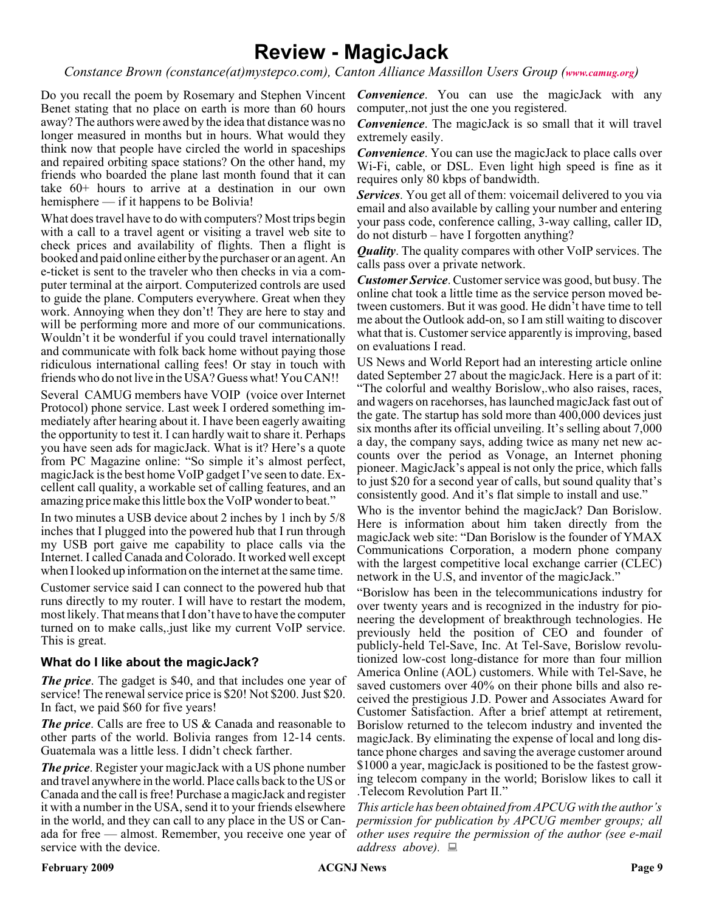### **Review - MagicJack**

*Constance Brown (constance(at)mystepco.com), Canton Alliance Massillon Users Group ([www.camug.org](http://www.camug.org))*

Do you recall the poem by Rosemary and Stephen Vincent *Convenience*. You can use the magicJack with any Benet stating that no place on earth is more than 60 hours away? The authors were awed by the idea that distance was no longer measured in months but in hours. What would they think now that people have circled the world in spaceships and repaired orbiting space stations? On the other hand, my friends who boarded the plane last month found that it can take 60+ hours to arrive at a destination in our own hemisphere — if it happens to be Bolivia!

What does travel have to do with computers? Most trips begin with a call to a travel agent or visiting a travel web site to check prices and availability of flights. Then a flight is booked and paid online either by the purchaser or an agent. An e-ticket is sent to the traveler who then checks in via a computer terminal at the airport. Computerized controls are used to guide the plane. Computers everywhere. Great when they work. Annoying when they don't! They are here to stay and will be performing more and more of our communications. Wouldn't it be wonderful if you could travel internationally and communicate with folk back home without paying those ridiculous international calling fees! Or stay in touch with friends who do not live in the USA? Guess what! You CAN!!

Several CAMUG members have VOIP (voice over Internet Protocol) phone service. Last week I ordered something immediately after hearing about it. I have been eagerly awaiting the opportunity to test it. I can hardly wait to share it. Perhaps you have seen ads for magicJack. What is it? Here's a quote from PC Magazine online: "So simple it's almost perfect, magicJack is the best home VoIP gadget I've seen to date. Excellent call quality, a workable set of calling features, and an amazing price make this little box the VoIP wonder to beat."

In two minutes a USB device about 2 inches by 1 inch by 5/8 inches that I plugged into the powered hub that I run through my USB port gaive me capability to place calls via the Internet. I called Canada and Colorado. It worked well except when I looked up information on the internet at the same time.

Customer service said I can connect to the powered hub that runs directly to my router. I will have to restart the modem, most likely. That means that I don't have to have the computer turned on to make calls,.just like my current VoIP service. This is great.

### **What do I like about the magicJack?**

*The price*. The gadget is \$40, and that includes one year of service! The renewal service price is \$20! Not \$200. Just \$20. In fact, we paid \$60 for five years!

*The price.* Calls are free to US & Canada and reasonable to other parts of the world. Bolivia ranges from 12-14 cents. Guatemala was a little less. I didn't check farther.

*The price*. Register your magicJack with a US phone number and travel anywhere in the world. Place calls back to the US or Canada and the call is free! Purchase a magicJack and register it with a number in the USA, send it to your friends elsewhere in the world, and they can call to any place in the US or Canada for free — almost. Remember, you receive one year of service with the device.

computer,.not just the one you registered.

*Convenience*. The magicJack is so small that it will travel extremely easily.

*Convenience*. You can use the magicJack to place calls over Wi-Fi, cable, or DSL. Even light high speed is fine as it requires only 80 kbps of bandwidth.

*Services*. You get all of them: voicemail delivered to you via email and also available by calling your number and entering your pass code, conference calling, 3-way calling, caller ID, do not disturb – have I forgotten anything?

*Quality*. The quality compares with other VoIP services. The calls pass over a private network.

*Customer Service*. Customer service was good, but busy. The online chat took a little time as the service person moved between customers. But it was good. He didn't have time to tell me about the Outlook add-on, so I am still waiting to discover what that is. Customer service apparently is improving, based on evaluations I read.

US News and World Report had an interesting article online dated September 27 about the magicJack. Here is a part of it: "The colorful and wealthy Borislow,.who also raises, races, and wagers on racehorses, has launched magicJack fast out of the gate. The startup has sold more than 400,000 devices just six months after its official unveiling. It's selling about 7,000 a day, the company says, adding twice as many net new accounts over the period as Vonage, an Internet phoning pioneer. MagicJack's appeal is not only the price, which falls to just \$20 for a second year of calls, but sound quality that's consistently good. And it's flat simple to install and use."

Who is the inventor behind the magicJack? Dan Borislow. Here is information about him taken directly from the magicJack web site: "Dan Borislow is the founder of YMAX Communications Corporation, a modern phone company with the largest competitive local exchange carrier (CLEC) network in the U.S, and inventor of the magicJack."

"Borislow has been in the telecommunications industry for over twenty years and is recognized in the industry for pioneering the development of breakthrough technologies. He previously held the position of CEO and founder of publicly-held Tel-Save, Inc. At Tel-Save, Borislow revolutionized low-cost long-distance for more than four million America Online (AOL) customers. While with Tel-Save, he saved customers over 40% on their phone bills and also received the prestigious J.D. Power and Associates Award for Customer Satisfaction. After a brief attempt at retirement, Borislow returned to the telecom industry and invented the magicJack. By eliminating the expense of local and long distance phone charges and saving the average customer around \$1000 a year, magicJack is positioned to be the fastest growing telecom company in the world; Borislow likes to call it .Telecom Revolution Part II."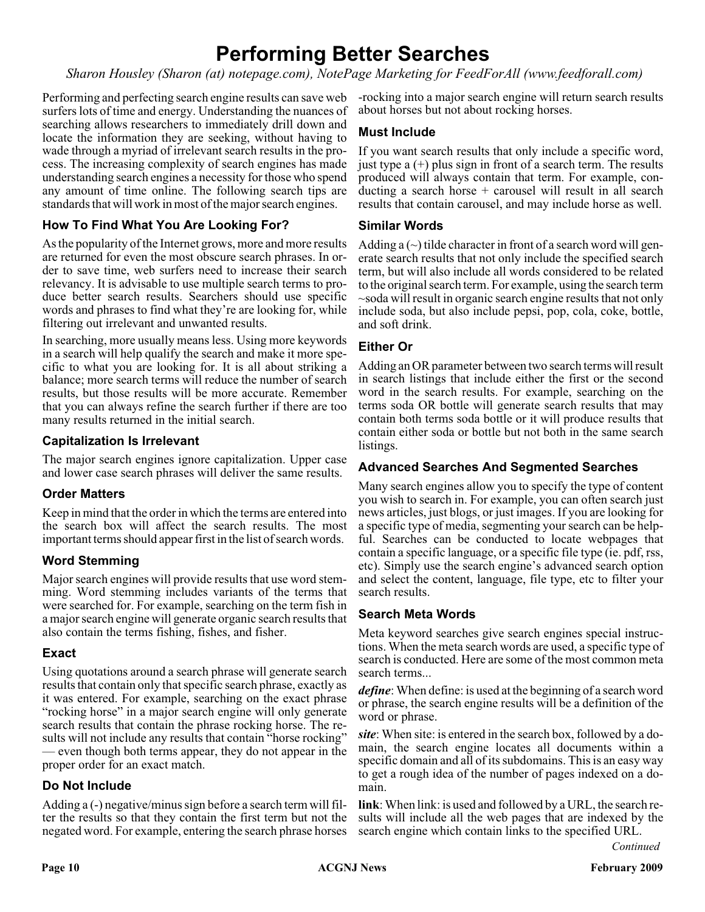## **Performing Better Searches**

*Sharon Housley (Sharon (at) notepage.com), NotePage Marketing for FeedForAll (www.feedforall.com)*

Performing and perfecting search engine results can save web surfers lots of time and energy. Understanding the nuances of searching allows researchers to immediately drill down and locate the information they are seeking, without having to wade through a myriad of irrelevant search results in the process. The increasing complexity of search engines has made understanding search engines a necessity for those who spend any amount of time online. The following search tips are standards that will work in most of the major search engines.

### **How To Find What You Are Looking For?**

As the popularity of the Internet grows, more and more results are returned for even the most obscure search phrases. In order to save time, web surfers need to increase their search relevancy. It is advisable to use multiple search terms to produce better search results. Searchers should use specific words and phrases to find what they're are looking for, while filtering out irrelevant and unwanted results.

In searching, more usually means less. Using more keywords in a search will help qualify the search and make it more specific to what you are looking for. It is all about striking a balance; more search terms will reduce the number of search results, but those results will be more accurate. Remember that you can always refine the search further if there are too many results returned in the initial search.

### **Capitalization Is Irrelevant**

The major search engines ignore capitalization. Upper case and lower case search phrases will deliver the same results.

### **Order Matters**

Keep in mind that the order in which the terms are entered into the search box will affect the search results. The most important terms should appear first in the list of search words.

### **Word Stemming**

Major search engines will provide results that use word stemming. Word stemming includes variants of the terms that were searched for. For example, searching on the term fish in a major search engine will generate organic search results that also contain the terms fishing, fishes, and fisher.

### **Exact**

Using quotations around a search phrase will generate search results that contain only that specific search phrase, exactly as it was entered. For example, searching on the exact phrase "rocking horse" in a major search engine will only generate search results that contain the phrase rocking horse. The results will not include any results that contain "horse rocking" — even though both terms appear, they do not appear in the proper order for an exact match.

### **Do Not Include**

Adding a (-) negative/minus sign before a search term will filter the results so that they contain the first term but not the negated word. For example, entering the search phrase horses -rocking into a major search engine will return search results about horses but not about rocking horses.

### **Must Include**

If you want search results that only include a specific word, just type a (+) plus sign in front of a search term. The results produced will always contain that term. For example, conducting a search horse + carousel will result in all search results that contain carousel, and may include horse as well.

### **Similar Words**

Adding a  $(\sim)$  tilde character in front of a search word will generate search results that not only include the specified search term, but will also include all words considered to be related to the original search term. For example, using the search term ~soda will result in organic search engine results that not only include soda, but also include pepsi, pop, cola, coke, bottle, and soft drink.

### **Either Or**

Adding an OR parameter between two search terms will result in search listings that include either the first or the second word in the search results. For example, searching on the terms soda OR bottle will generate search results that may contain both terms soda bottle or it will produce results that contain either soda or bottle but not both in the same search listings.

### **Advanced Searches And Segmented Searches**

Many search engines allow you to specify the type of content you wish to search in. For example, you can often search just news articles, just blogs, or just images. If you are looking for a specific type of media, segmenting your search can be helpful. Searches can be conducted to locate webpages that contain a specific language, or a specific file type (ie. pdf, rss, etc). Simply use the search engine's advanced search option and select the content, language, file type, etc to filter your search results.

### **Search Meta Words**

Meta keyword searches give search engines special instructions. When the meta search words are used, a specific type of search is conducted. Here are some of the most common meta search terms...

*define*: When define: is used at the beginning of a search word or phrase, the search engine results will be a definition of the word or phrase.

*site*: When site: is entered in the search box, followed by a domain, the search engine locates all documents within a specific domain and all of its subdomains. This is an easy way to get a rough idea of the number of pages indexed on a domain.

**link**: When link: is used and followed by a URL, the search results will include all the web pages that are indexed by the search engine which contain links to the specified URL.

*Continued*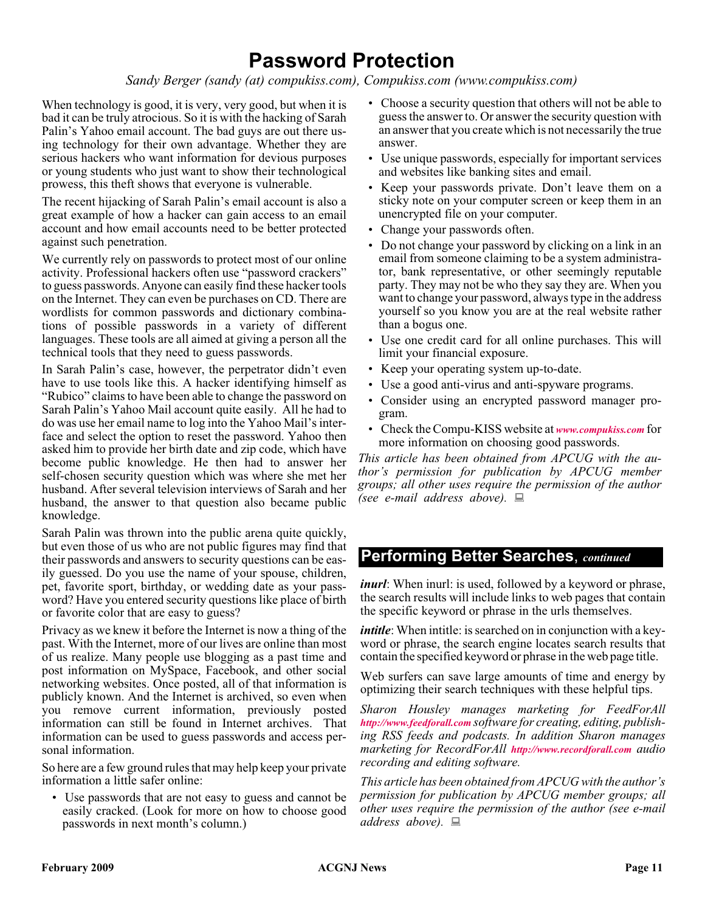### **Password Protection**

*Sandy Berger (sandy (at) compukiss.com), Compukiss.com (www.compukiss.com)*

When technology is good, it is very, very good, but when it is bad it can be truly atrocious. So it is with the hacking of Sarah Palin's Yahoo email account. The bad guys are out there using technology for their own advantage. Whether they are serious hackers who want information for devious purposes or young students who just want to show their technological prowess, this theft shows that everyone is vulnerable.

The recent hijacking of Sarah Palin's email account is also a great example of how a hacker can gain access to an email account and how email accounts need to be better protected against such penetration.

We currently rely on passwords to protect most of our online activity. Professional hackers often use "password crackers" to guess passwords. Anyone can easily find these hacker tools on the Internet. They can even be purchases on CD. There are wordlists for common passwords and dictionary combinations of possible passwords in a variety of different languages. These tools are all aimed at giving a person all the technical tools that they need to guess passwords.

In Sarah Palin's case, however, the perpetrator didn't even have to use tools like this. A hacker identifying himself as "Rubico" claims to have been able to change the password on Sarah Palin's Yahoo Mail account quite easily. All he had to do was use her email name to log into the Yahoo Mail's interface and select the option to reset the password. Yahoo then asked him to provide her birth date and zip code, which have become public knowledge. He then had to answer her self-chosen security question which was where she met her husband. After several television interviews of Sarah and her husband, the answer to that question also became public knowledge.

Sarah Palin was thrown into the public arena quite quickly, but even those of us who are not public figures may find that their passwords and answers to security questions can be easily guessed. Do you use the name of your spouse, children, pet, favorite sport, birthday, or wedding date as your password? Have you entered security questions like place of birth or favorite color that are easy to guess?

Privacy as we knew it before the Internet is now a thing of the past. With the Internet, more of our lives are online than most of us realize. Many people use blogging as a past time and post information on MySpace, Facebook, and other social networking websites. Once posted, all of that information is publicly known. And the Internet is archived, so even when you remove current information, previously posted information can still be found in Internet archives. That information can be used to guess passwords and access personal information.

So here are a few ground rules that may help keep your private information a little safer online:

• Use passwords that are not easy to guess and cannot be easily cracked. (Look for more on how to choose good passwords in next month's column.)

- Choose a security question that others will not be able to guess the answer to. Or answer the security question with an answer that you create which is not necessarily the true answer.
- Use unique passwords, especially for important services and websites like banking sites and email.
- Keep your passwords private. Don't leave them on a sticky note on your computer screen or keep them in an unencrypted file on your computer.
- Change your passwords often.
- Do not change your password by clicking on a link in an email from someone claiming to be a system administrator, bank representative, or other seemingly reputable party. They may not be who they say they are. When you want to change your password, always type in the address yourself so you know you are at the real website rather than a bogus one.
- Use one credit card for all online purchases. This will limit your financial exposure.
- Keep your operating system up-to-date.
- Use a good anti-virus and anti-spyware programs.
- Consider using an encrypted password manager program.
- Check the Compu-KISS website at *[www.compukiss.com](http://www.compukiss.com)* for more information on choosing good passwords.

*This article has been obtained from APCUG with the author's permission for publication by APCUG member groups; all other uses require the permission of the author (see e-mail address above).*

### **Performing Better Searches**, *continued*

*inurl*: When inurl: is used, followed by a keyword or phrase, the search results will include links to web pages that contain the specific keyword or phrase in the urls themselves.

*intitle*: When intitle: is searched on in conjunction with a keyword or phrase, the search engine locates search results that contain the specified keyword or phrase in the web page title.

Web surfers can save large amounts of time and energy by optimizing their search techniques with these helpful tips.

*Sharon Housley manages marketing for FeedForAll <http://www.feedforall.com> software for creating, editing, publishing RSS feeds and podcasts. In addition Sharon manages marketing for RecordForAll <http://www.recordforall.com> audio recording and editing software.*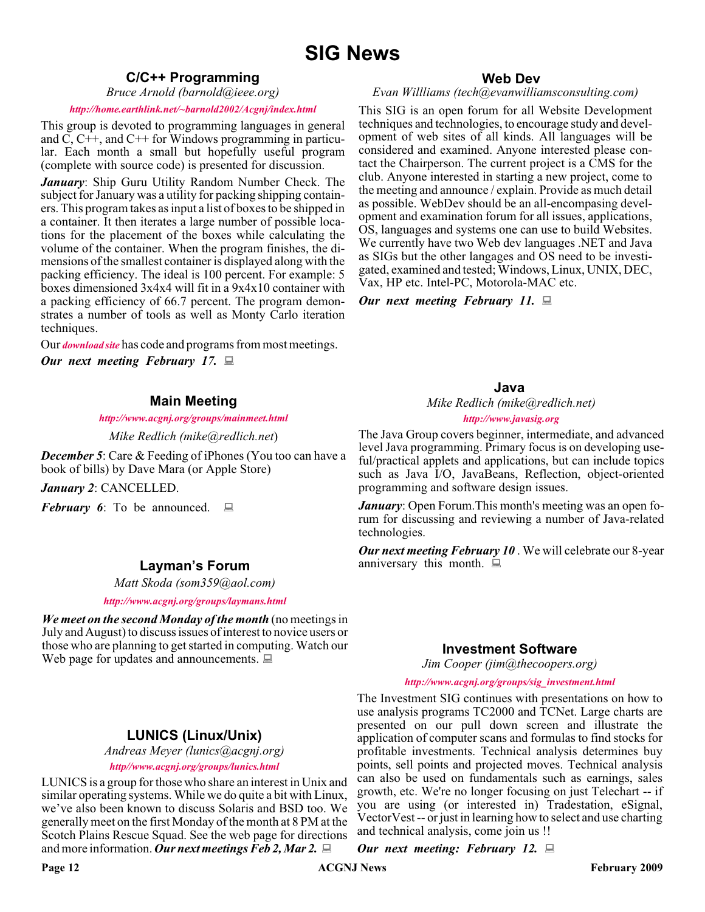### **C/C++ Programming**

*Bruce Arnold (barnold@ieee.org)*

### *<http://home.earthlink.net/~barnold2002/Acgnj/index.html>*

This group is devoted to programming languages in general and C, C++, and C++ for Windows programming in particular. Each month a small but hopefully useful program (complete with source code) is presented for discussion.

*January*: Ship Guru Utility Random Number Check. The subject for January was a utility for packing shipping containers. This program takes as input a list of boxes to be shipped in a container. It then iterates a large number of possible locations for the placement of the boxes while calculating the volume of the container. When the program finishes, the dimensions of the smallest container is displayed along with the packing efficiency. The ideal is 100 percent. For example: 5 boxes dimensioned 3x4x4 will fit in a 9x4x10 container with a packing efficiency of 66.7 percent. The program demonstrates a number of tools as well as Monty Carlo iteration techniques.

Our *[download site](http://home.earthlink.net/~barnold2002/Acgnj/Download.htm)* has code and programs from most meetings.

*Our next meeting February 17.*

### **Main Meeting**

#### *<http://www.acgnj.org/groups/mainmeet.html>*

*Mike Redlich (mike@redlich.net*)

*December 5*: Care & Feeding of iPhones (You too can have a book of bills) by Dave Mara (or Apple Store)

*January 2*: CANCELLED.

*February 6*: To be announced.  $\Box$ 

### **Layman's Forum**

*Matt Skoda (som359@aol.com)*

*<http://www.acgnj.org/groups/laymans.html>*

*We meet on the second Monday of the month* (no meetings in July and August) to discuss issues of interest to novice users or those who are planning to get started in computing. Watch our Web page for updates and announcements.  $\Box$ 

### **LUNICS (Linux/Unix)**

*Andreas Meyer (lunics@acgnj.org)*

*<http//www.acgnj.org/groups/lunics.html>*

LUNICS is a group for those who share an interest in Unix and similar operating systems. While we do quite a bit with Linux, we've also been known to discuss Solaris and BSD too. We generally meet on the first Monday of the month at 8 PM at the Scotch Plains Rescue Squad. See the web page for directions and more information. *Our next meetings Feb 2, Mar 2.*

### **Web Dev**

### *Evan Willliams (tech@evanwilliamsconsulting.com)*

This SIG is an open forum for all Website Development techniques and technologies, to encourage study and development of web sites of all kinds. All languages will be considered and examined. Anyone interested please contact the Chairperson. The current project is a CMS for the club. Anyone interested in starting a new project, come to the meeting and announce / explain. Provide as much detail as possible. WebDev should be an all-encompasing development and examination forum for all issues, applications, OS, languages and systems one can use to build Websites. We currently have two Web dev languages .NET and Java as SIGs but the other langages and OS need to be investigated, examined and tested; Windows, Linux, UNIX, DEC, Vax, HP etc. Intel-PC, Motorola-MAC etc.

*Our next meeting February 11.*

### **Java**

*Mike Redlich (mike@redlich.net) <http://www.javasig.org>*

The Java Group covers beginner, intermediate, and advanced level Java programming. Primary focus is on developing useful/practical applets and applications, but can include topics such as Java I/O, JavaBeans, Reflection, object-oriented programming and software design issues.

*January*: Open Forum.This month's meeting was an open forum for discussing and reviewing a number of Java-related technologies.

*Our next meeting February 10* . We will celebrate our 8-year anniversary this month.  $\Box$ 

### **Investment Software**

*Jim Cooper (jim@thecoopers.org)*

### *[http://www.acgnj.org/groups/sig\\_investment.html](http://www.acgnj.org/groups/sig_investment.html)*

The Investment SIG continues with presentations on how to use analysis programs TC2000 and TCNet. Large charts are presented on our pull down screen and illustrate the application of computer scans and formulas to find stocks for profitable investments. Technical analysis determines buy points, sell points and projected moves. Technical analysis can also be used on fundamentals such as earnings, sales growth, etc. We're no longer focusing on just Telechart -- if you are using (or interested in) Tradestation, eSignal, VectorVest -- or just in learning how to select and use charting and technical analysis, come join us !!

*Our next meeting: February 12.*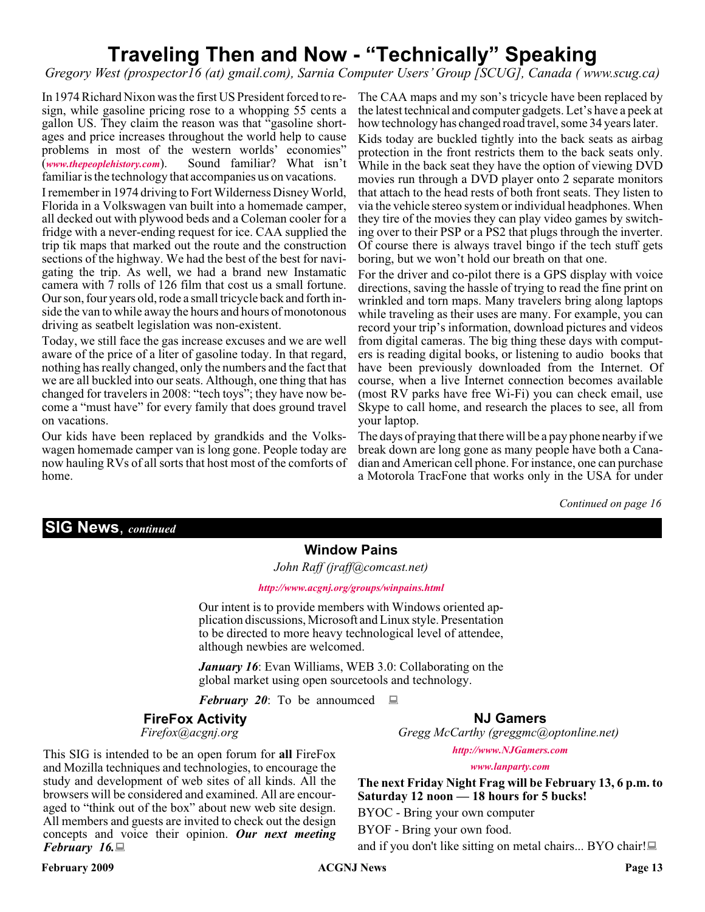### **Traveling Then and Now - "Technically" Speaking**

*Gregory West (prospector16 (at) gmail.com), Sarnia Computer Users' Group [SCUG], Canada ( www.scug.ca)*

In 1974 Richard Nixon was the first US President forced to resign, while gasoline pricing rose to a whopping 55 cents a gallon US. They claim the reason was that "gasoline shortages and price increases throughout the world help to cause problems in most of the western worlds' economies" (*[www.thepeoplehistory.com](http://www.thepeoplehistory.com)*). Sound familiar? What isn't familiar is the technology that accompanies us on vacations.

I remember in 1974 driving to Fort Wilderness Disney World, Florida in a Volkswagen van built into a homemade camper, all decked out with plywood beds and a Coleman cooler for a fridge with a never-ending request for ice. CAA supplied the trip tik maps that marked out the route and the construction sections of the highway. We had the best of the best for navigating the trip. As well, we had a brand new Instamatic camera with 7 rolls of 126 film that cost us a small fortune. Our son, four years old, rode a small tricycle back and forth inside the van to while away the hours and hours of monotonous driving as seatbelt legislation was non-existent.

Today, we still face the gas increase excuses and we are well aware of the price of a liter of gasoline today. In that regard, nothing has really changed, only the numbers and the fact that we are all buckled into our seats. Although, one thing that has changed for travelers in 2008: "tech toys"; they have now become a "must have" for every family that does ground travel on vacations.

Our kids have been replaced by grandkids and the Volkswagen homemade camper van is long gone. People today are now hauling RVs of all sorts that host most of the comforts of home.

The CAA maps and my son's tricycle have been replaced by the latest technical and computer gadgets. Let's have a peek at how technology has changed road travel, some 34 years later. Kids today are buckled tightly into the back seats as airbag protection in the front restricts them to the back seats only. While in the back seat they have the option of viewing DVD movies run through a DVD player onto 2 separate monitors that attach to the head rests of both front seats. They listen to via the vehicle stereo system or individual headphones. When they tire of the movies they can play video games by switching over to their PSP or a PS2 that plugs through the inverter. Of course there is always travel bingo if the tech stuff gets boring, but we won't hold our breath on that one.

For the driver and co-pilot there is a GPS display with voice directions, saving the hassle of trying to read the fine print on wrinkled and torn maps. Many travelers bring along laptops while traveling as their uses are many. For example, you can record your trip's information, download pictures and videos from digital cameras. The big thing these days with computers is reading digital books, or listening to audio books that have been previously downloaded from the Internet. Of course, when a live Internet connection becomes available (most RV parks have free Wi-Fi) you can check email, use Skype to call home, and research the places to see, all from your laptop.

The days of praying that there will be a pay phone nearby if we break down are long gone as many people have both a Canadian and American cell phone. For instance, one can purchase a Motorola TracFone that works only in the USA for under

*Continued on page 16*

### **SIG News**, *continued*

### **Window Pains**

*John Raff (jraff@comcast.net)*

*<http://www.acgnj.org/groups/winpains.html>*

Our intent is to provide members with Windows oriented application discussions, Microsoft and Linux style. Presentation to be directed to more heavy technological level of attendee, although newbies are welcomed.

*January 16*: Evan Williams, WEB 3.0: Collaborating on the global market using open sourcetools and technology.

*February 20:* To be annoumced  $\Box$ 

### **FireFox Activity** *Firefox@acgnj.org*

This SIG is intended to be an open forum for **all** FireFox and Mozilla techniques and technologies, to encourage the study and development of web sites of all kinds. All the browsers will be considered and examined. All are encouraged to "think out of the box" about new web site design. All members and guests are invited to check out the design concepts and voice their opinion. *Our next meeting February 16.*

**NJ Gamers**

*Gregg McCarthy (greggmc@optonline.net)*

*<http://www.NJGamers.com>*

#### *[www.lanparty.com](http://www.lanparty.com)*

**The next Friday Night Frag will be February 13, 6 p.m. to Saturday 12 noon — 18 hours for 5 bucks!** BYOC - Bring your own computer

BYOF - Bring your own food.

and if you don't like sitting on metal chairs... BYO chair!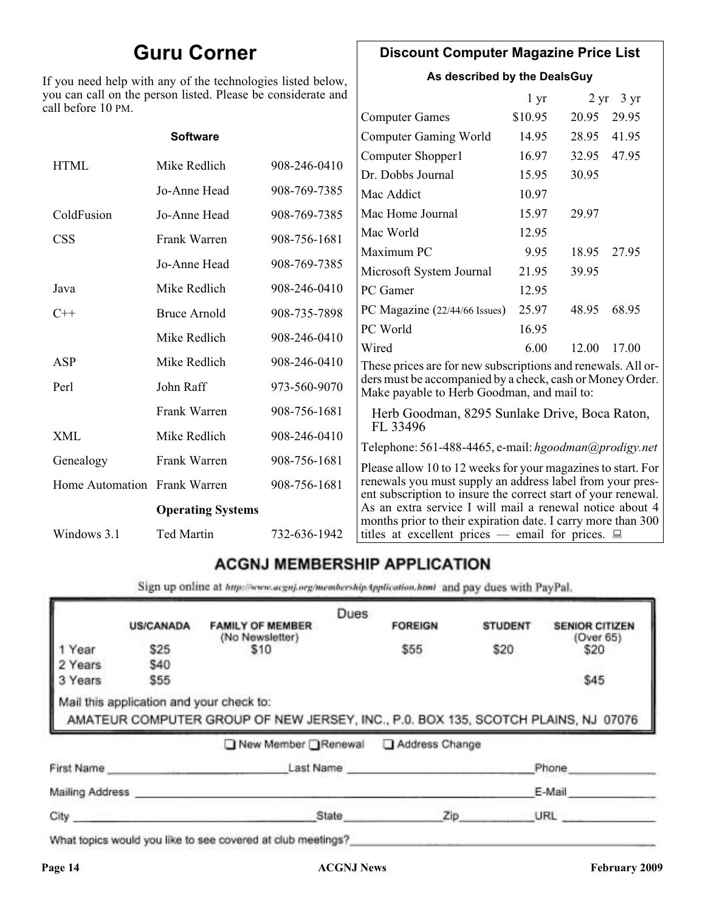### **Guru Corner**

If you need help with any of the technologies listed below, you can call on the person listed. Please be considerate and ca

### **Discount Computer Magazine Price List**

**As described by the DealsGuy**

|                              |                                                                              | 1 <sub>yr</sub>                                                              |          | $2 \text{ yr}$ 3 yr                                                                          |                                                                                                                                                                                                                                                                                                                                                                                                                                                                                                                                                                                                                                                                      |
|------------------------------|------------------------------------------------------------------------------|------------------------------------------------------------------------------|----------|----------------------------------------------------------------------------------------------|----------------------------------------------------------------------------------------------------------------------------------------------------------------------------------------------------------------------------------------------------------------------------------------------------------------------------------------------------------------------------------------------------------------------------------------------------------------------------------------------------------------------------------------------------------------------------------------------------------------------------------------------------------------------|
|                              |                                                                              | <b>Computer Games</b>                                                        | \$10.95  | 20.95                                                                                        | 29.95                                                                                                                                                                                                                                                                                                                                                                                                                                                                                                                                                                                                                                                                |
| <b>Software</b>              |                                                                              | Computer Gaming World                                                        | 14.95    | 28.95                                                                                        | 41.95                                                                                                                                                                                                                                                                                                                                                                                                                                                                                                                                                                                                                                                                |
|                              |                                                                              | Computer Shopper1                                                            | 16.97    | 32.95                                                                                        | 47.95                                                                                                                                                                                                                                                                                                                                                                                                                                                                                                                                                                                                                                                                |
|                              |                                                                              | Dr. Dobbs Journal                                                            | 15.95    | 30.95                                                                                        |                                                                                                                                                                                                                                                                                                                                                                                                                                                                                                                                                                                                                                                                      |
| Jo-Anne Head                 | 908-769-7385                                                                 | Mac Addict                                                                   | 10.97    |                                                                                              |                                                                                                                                                                                                                                                                                                                                                                                                                                                                                                                                                                                                                                                                      |
| Jo-Anne Head                 | 908-769-7385                                                                 | Mac Home Journal                                                             | 15.97    | 29.97                                                                                        |                                                                                                                                                                                                                                                                                                                                                                                                                                                                                                                                                                                                                                                                      |
|                              |                                                                              | Mac World                                                                    | 12.95    |                                                                                              |                                                                                                                                                                                                                                                                                                                                                                                                                                                                                                                                                                                                                                                                      |
|                              |                                                                              | Maximum PC                                                                   | 9.95     | 18.95                                                                                        | 27.95                                                                                                                                                                                                                                                                                                                                                                                                                                                                                                                                                                                                                                                                |
|                              |                                                                              | Microsoft System Journal                                                     | 21.95    | 39.95                                                                                        |                                                                                                                                                                                                                                                                                                                                                                                                                                                                                                                                                                                                                                                                      |
| Mike Redlich                 | 908-246-0410                                                                 | PC Gamer                                                                     | 12.95    |                                                                                              |                                                                                                                                                                                                                                                                                                                                                                                                                                                                                                                                                                                                                                                                      |
| <b>Bruce Arnold</b>          | 908-735-7898                                                                 |                                                                              | 25.97    | 48.95                                                                                        | 68.95                                                                                                                                                                                                                                                                                                                                                                                                                                                                                                                                                                                                                                                                |
|                              |                                                                              | PC World                                                                     | 16.95    |                                                                                              |                                                                                                                                                                                                                                                                                                                                                                                                                                                                                                                                                                                                                                                                      |
|                              |                                                                              | Wired                                                                        | 6.00     | 12.00                                                                                        | 17.00                                                                                                                                                                                                                                                                                                                                                                                                                                                                                                                                                                                                                                                                |
|                              |                                                                              |                                                                              |          |                                                                                              |                                                                                                                                                                                                                                                                                                                                                                                                                                                                                                                                                                                                                                                                      |
| John Raff                    | 973-560-9070                                                                 |                                                                              |          |                                                                                              |                                                                                                                                                                                                                                                                                                                                                                                                                                                                                                                                                                                                                                                                      |
| Frank Warren                 | 908-756-1681                                                                 |                                                                              |          |                                                                                              |                                                                                                                                                                                                                                                                                                                                                                                                                                                                                                                                                                                                                                                                      |
| Mike Redlich                 | 908-246-0410                                                                 |                                                                              |          |                                                                                              |                                                                                                                                                                                                                                                                                                                                                                                                                                                                                                                                                                                                                                                                      |
| Frank Warren                 | 908-756-1681                                                                 |                                                                              |          |                                                                                              |                                                                                                                                                                                                                                                                                                                                                                                                                                                                                                                                                                                                                                                                      |
| Home Automation Frank Warren | 908-756-1681                                                                 |                                                                              |          |                                                                                              |                                                                                                                                                                                                                                                                                                                                                                                                                                                                                                                                                                                                                                                                      |
| <b>Operating Systems</b>     |                                                                              |                                                                              |          |                                                                                              |                                                                                                                                                                                                                                                                                                                                                                                                                                                                                                                                                                                                                                                                      |
| <b>Ted Martin</b>            | 732-636-1942                                                                 |                                                                              |          |                                                                                              |                                                                                                                                                                                                                                                                                                                                                                                                                                                                                                                                                                                                                                                                      |
|                              | Mike Redlich<br>Frank Warren<br>Jo-Anne Head<br>Mike Redlich<br>Mike Redlich | 908-246-0410<br>908-756-1681<br>908-769-7385<br>908-246-0410<br>908-246-0410 | FL 33496 | ou can call on the person listed. Please be considerate and<br>PC Magazine (22/44/66 Issues) | These prices are for new subscriptions and renewals. All or-<br>ders must be accompanied by a check, cash or Money Order.<br>Make payable to Herb Goodman, and mail to:<br>Herb Goodman, 8295 Sunlake Drive, Boca Raton,<br>Telephone: 561-488-4465, e-mail: hgoodman@prodigy.net<br>Please allow 10 to 12 weeks for your magazines to start. For<br>renewals you must supply an address label from your pres-<br>ent subscription to insure the correct start of your renewal.<br>As an extra service I will mail a renewal notice about 4<br>months prior to their expiration date. I carry more than 300<br>titles at excellent prices — email for prices. $\Box$ |

### **ACGNJ MEMBERSHIP APPLICATION**

Sign up online at http://www.acguj.org/membershipApplication.html and pay dues with PayPal.

|                 |                                          |                                                                                   | Dues      |                |                |                                    |
|-----------------|------------------------------------------|-----------------------------------------------------------------------------------|-----------|----------------|----------------|------------------------------------|
|                 | <b>US/CANADA</b>                         | <b>FAMILY OF MEMBER</b><br>(No Newsletter)                                        |           | <b>FOREIGN</b> | <b>STUDENT</b> | <b>SENIOR CITIZEN</b><br>(Over 65) |
| 1 Year          | \$25                                     | \$10                                                                              |           | \$55           | \$20           | \$20                               |
| 2 Years         | \$40                                     |                                                                                   |           |                |                |                                    |
| 3 Years         | \$55                                     |                                                                                   |           |                |                | \$45                               |
|                 | Mail this application and your check to: | AMATEUR COMPUTER GROUP OF NEW JERSEY, INC., P.0. BOX 135, SCOTCH PLAINS, NJ 07076 |           |                |                |                                    |
|                 |                                          | ■ New Member Renewal                                                              |           | Address Change |                |                                    |
| First Name      |                                          |                                                                                   | Last Name |                |                | Phone                              |
| Mailing Address |                                          |                                                                                   |           |                |                | E-Mail                             |

What topics would you like to see covered at club meetings?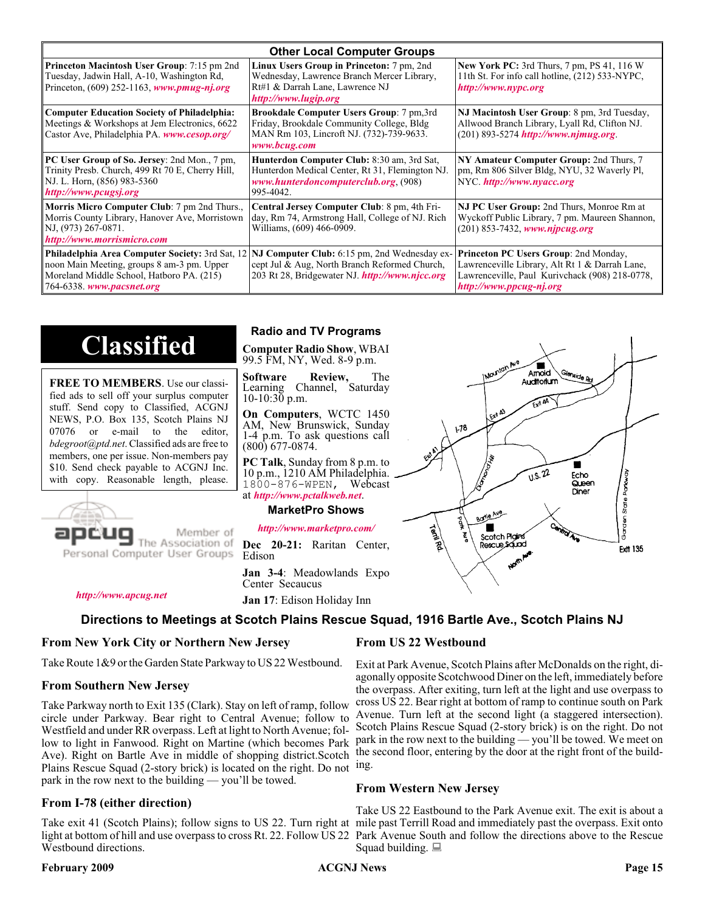|                                                                                                                                                                                | <b>Other Local Computer Groups</b>                                                                                                                        |                                                                                                                                                                      |
|--------------------------------------------------------------------------------------------------------------------------------------------------------------------------------|-----------------------------------------------------------------------------------------------------------------------------------------------------------|----------------------------------------------------------------------------------------------------------------------------------------------------------------------|
| <b>Princeton Macintosh User Group:</b> 7:15 pm 2nd<br>Tuesday, Jadwin Hall, A-10, Washington Rd,<br>Princeton, $(609)$ 252-1163, www.pmug-nj.org                               | Linux Users Group in Princeton: 7 pm, 2nd<br>Wednesday, Lawrence Branch Mercer Library,<br>Rt#1 & Darrah Lane, Lawrence NJ<br>http://www.lugip.org        | <b>New York PC:</b> 3rd Thurs, 7 pm, PS 41, 116 W<br>11th St. For info call hotline, (212) 533-NYPC,<br>http://www.nypc.org                                          |
| <b>Computer Education Society of Philadelphia:</b><br>Meetings & Workshops at Jem Electronics, 6622<br>Castor Ave, Philadelphia PA. www.cesop.org/                             | <b>Brookdale Computer Users Group:</b> 7 pm, 3rd<br>Friday, Brookdale Community College, Bldg<br>MAN Rm 103, Lincroft NJ. (732)-739-9633.<br>www.bcug.com | NJ Macintosh User Group: 8 pm, 3rd Tuesday,<br>Allwood Branch Library, Lyall Rd, Clifton NJ.<br>(201) 893-5274 http://www.njmug.org                                  |
| PC User Group of So. Jersey: 2nd Mon., 7 pm,<br>Trinity Presb. Church, 499 Rt 70 E, Cherry Hill,<br>NJ. L. Horn, (856) 983-5360<br>http://www.pcugsj.org                       | Hunterdon Computer Club: 8:30 am, 3rd Sat,<br>Hunterdon Medical Center, Rt 31, Flemington NJ.<br>www.hunterdoncomputerclub.org (908)<br>995-4042.         | NY Amateur Computer Group: 2nd Thurs, 7<br>pm, Rm 806 Silver Bldg, NYU, 32 Waverly Pl,<br>NYC http://www.nyacc.org                                                   |
| <b>Morris Micro Computer Club:</b> 7 pm 2nd Thurs.,<br>Morris County Library, Hanover Ave, Morristown<br>NJ, (973) 267-0871.<br>http://www.morrismicro.com                     | Central Jersey Computer Club: 8 pm, 4th Fri-<br>day, Rm 74, Armstrong Hall, College of NJ. Rich<br>Williams, (609) 466-0909.                              | NJ PC User Group: 2nd Thurs, Monroe Rm at<br>Wyckoff Public Library, 7 pm. Maureen Shannon,<br>$(201)$ 853-7432, www.njpcug.org                                      |
| <b>Philadelphia Area Computer Society: 3rd Sat, 12</b><br>noon Main Meeting, groups 8 am-3 pm. Upper<br>Moreland Middle School, Hatboro PA. (215)<br>764-6338. www.pacsnet.org | <b>NJ Computer Club:</b> 6:15 pm, 2nd Wednesday ex-<br>cept Jul & Aug, North Branch Reformed Church,<br>203 Rt 28, Bridgewater NJ. http://www.njcc.org    | Princeton PC Users Group: 2nd Monday,<br>Lawrenceville Library, Alt Rt 1 & Darrah Lane,<br>Lawrenceville, Paul Kurivchack (908) 218-0778,<br>http://www.ppcug-nj.org |

# **Classified**

**FREE TO MEMBERS**. Use our classified ads to sell off your surplus computer stuff. Send copy to Classified, ACGNJ NEWS, P.O. Box 135, Scotch Plains NJ 07076 or e-mail to the editor, *bdegroot@ptd.net*. Classified ads are free to members, one per issue. Non-members pay \$10. Send check payable to ACGNJ Inc. with copy. Reasonable length, please.



Member of

The Association of Personal Computer User Groups

Center Secaucus

*<http://www.apcug.net>*

**Jan 17**: Edison Holiday Inn

### **Directions to Meetings at Scotch Plains Rescue Squad, 1916 Bartle Ave., Scotch Plains NJ**

### **From New York City or Northern New Jersey**

Take Route 1&9 or the Garden State Parkway to US 22 Westbound.

### **From Southern New Jersey**

Take Parkway north to Exit 135 (Clark). Stay on left of ramp, follow circle under Parkway. Bear right to Central Avenue; follow to Westfield and under RR overpass. Left at light to North Avenue; follow to light in Fanwood. Right on Martine (which becomes Park Ave). Right on Bartle Ave in middle of shopping district.Scotch Plains Rescue Squad (2-story brick) is located on the right. Do not ing. park in the row next to the building — you'll be towed.

### **From I-78 (either direction)**

Take exit 41 (Scotch Plains); follow signs to US 22. Turn right at mile past Terrill Road and immediately past the overpass. Exit onto light at bottom of hill and use overpass to cross Rt. 22. Follow US 22 Park Avenue South and follow the directions above to the Rescue Westbound directions.

#### **February 2009 CONS Page 15 Page 15 Page 15 Page 16 Page 16 Page 16 Page 16**

### **Radio and TV Programs**

**Computer Radio Show**, WBAI 99.5 FM, NY, Wed. 8-9 p.m.

**Software Review,** The Learning Channel, Saturday 10-10:30 p.m.

**On Computers**, WCTC 1450 AM, New Brunswick, Sunday 1-4 p.m. To ask questions call (800) 677-0874.

**PC Talk**, Sunday from 8 p.m. to 10 p.m., 1210 AM Philadelphia. 1800-876-WPEN, Webcast at *<http://www.pctalkweb.net>*.

### **MarketPro Shows**

### *<http://www.marketpro.com/>*

**Dec 20-21:** Raritan Center, Edison

**Jan 3-4**: Meadowlands Expo

### **From US 22 Westbound**

Exit at Park Avenue, Scotch Plains after McDonalds on the right, diagonally opposite Scotchwood Diner on the left, immediately before the overpass. After exiting, turn left at the light and use overpass to cross US 22. Bear right at bottom of ramp to continue south on Park Avenue. Turn left at the second light (a staggered intersection). Scotch Plains Rescue Squad (2-story brick) is on the right. Do not park in the row next to the building — you'll be towed. We meet on the second floor, entering by the door at the right front of the build-

### **From Western New Jersey**

Take US 22 Eastbound to the Park Avenue exit. The exit is about a Squad building.  $\Box$